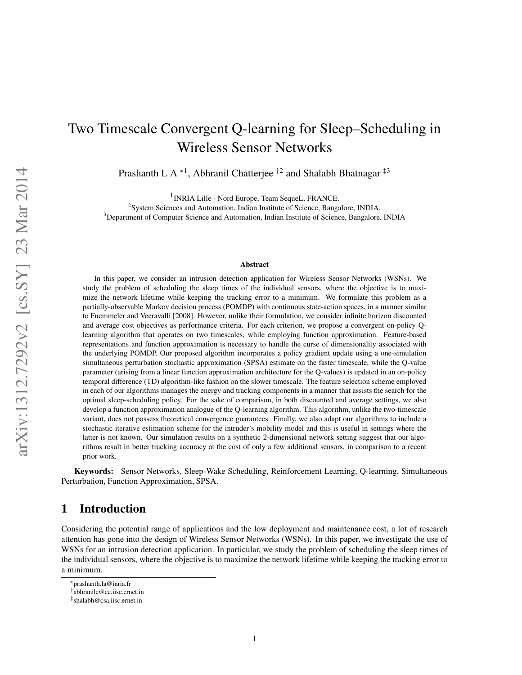# Two Timescale Convergent Q-learning for Sleep–Scheduling in Wireless Sensor Networks

Prashanth L A  $*1$ , Abhranil Chatterjee  $\dagger^2$  and Shalabh Bhatnagar  $\ddagger^3$ 

<sup>1</sup> INRIA Lille - Nord Europe, Team SequeL, FRANCE.

<sup>2</sup>System Sciences and Automation, Indian Institute of Science, Bangalore, INDIA. <sup>3</sup>Department of Computer Science and Automation, Indian Institute of Science, Bangalore, INDIA

#### **Abstract**

In this paper, we consider an intrusion detection application for Wireless Sensor Networks (WSNs). We study the problem of scheduling the sleep times of the individual sensors, where the objective is to maximize the network lifetime while keeping the tracking error to a minimum. We formulate this problem as a partially-observable Markov decision process (POMDP) with continuous state-action spaces, in a manner similar to Fuemmeler and Veeravalli [2008]. However, unlike their formulation, we consider infinite horizon discounted and average cost objectives as performance criteria. For each criterion, we propose a convergent on-policy Qlearning algorithm that operates on two timescales, while employing function approximation. Feature-based representations and function approximation is necessary to handle the curse of dimensionality associated with the underlying POMDP. Our proposed algorithm incorporates a policy gradient update using a one-simulation simultaneous perturbation stochastic approximation (SPSA) estimate on the faster timescale, while the Q-value parameter (arising from a linear function approximation architecture for the Q-values) is updated in an on-policy temporal difference (TD) algorithm-like fashion on the slower timescale. The feature selection scheme employed in each of our algorithms manages the energy and tracking components in a manner that assists the search for the optimal sleep-scheduling policy. For the sake of comparison, in both discounted and average settings, we also develop a function approximation analogue of the Q-learning algorithm. This algorithm, unlike the two-timescale variant, does not possess theoretical convergence guarantees. Finally, we also adapt our algorithms to include a stochastic iterative estimation scheme for the intruder's mobility model and this is useful in settings where the latter is not known. Our simulation results on a synthetic 2-dimensional network setting suggest that our algorithms result in better tracking accuracy at the cost of only a few additional sensors, in comparison to a recent prior work.

**Keywords:** Sensor Networks, Sleep-Wake Scheduling, Reinforcement Learning, Q-learning, Simultaneous Perturbation, Function Approximation, SPSA.

# **1 Introduction**

Considering the potential range of applications and the low deployment and maintenance cost, a lot of research attention has gone into the design of Wireless Sensor Networks (WSNs). In this paper, we investigate the use of WSNs for an intrusion detection application. In particular, we study the problem of scheduling the sleep times of the individual sensors, where the objective is to maximize the network lifetime while keeping the tracking error to a minimum.

<sup>∗</sup>prashanth.la@inria.fr

<sup>†</sup> abhranilc@ee.iisc.ernet.in

<sup>‡</sup> shalabh@csa.iisc.ernet.in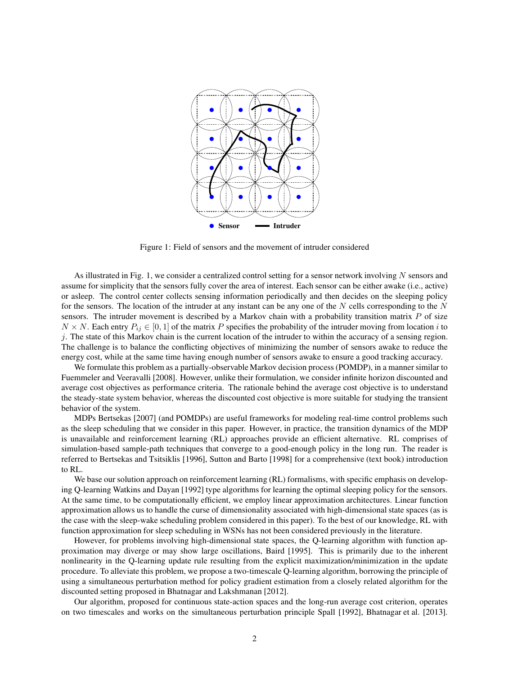

Figure 1: Field of sensors and the movement of intruder considered

As illustrated in Fig. 1, we consider a centralized control setting for a sensor network involving  $N$  sensors and assume for simplicity that the sensors fully cover the area of interest. Each sensor can be either awake (i.e., active) or asleep. The control center collects sensing information periodically and then decides on the sleeping policy for the sensors. The location of the intruder at any instant can be any one of the  $N$  cells corresponding to the  $N$ sensors. The intruder movement is described by a Markov chain with a probability transition matrix  $P$  of size  $N \times N$ . Each entry  $P_{ij} \in [0, 1]$  of the matrix P specifies the probability of the intruder moving from location i to  $j$ . The state of this Markov chain is the current location of the intruder to within the accuracy of a sensing region. The challenge is to balance the conflicting objectives of minimizing the number of sensors awake to reduce the energy cost, while at the same time having enough number of sensors awake to ensure a good tracking accuracy.

We formulate this problem as a partially-observable Markov decision process (POMDP), in a manner similar to Fuemmeler and Veeravalli [2008]. However, unlike their formulation, we consider infinite horizon discounted and average cost objectives as performance criteria. The rationale behind the average cost objective is to understand the steady-state system behavior, whereas the discounted cost objective is more suitable for studying the transient behavior of the system.

MDPs Bertsekas [2007] (and POMDPs) are useful frameworks for modeling real-time control problems such as the sleep scheduling that we consider in this paper. However, in practice, the transition dynamics of the MDP is unavailable and reinforcement learning (RL) approaches provide an efficient alternative. RL comprises of simulation-based sample-path techniques that converge to a good-enough policy in the long run. The reader is referred to Bertsekas and Tsitsiklis [1996], Sutton and Barto [1998] for a comprehensive (text book) introduction to RL.

We base our solution approach on reinforcement learning (RL) formalisms, with specific emphasis on developing Q-learning Watkins and Dayan [1992] type algorithms for learning the optimal sleeping policy for the sensors. At the same time, to be computationally efficient, we employ linear approximation architectures. Linear function approximation allows us to handle the curse of dimensionality associated with high-dimensional state spaces (as is the case with the sleep-wake scheduling problem considered in this paper). To the best of our knowledge, RL with function approximation for sleep scheduling in WSNs has not been considered previously in the literature.

However, for problems involving high-dimensional state spaces, the Q-learning algorithm with function approximation may diverge or may show large oscillations, Baird [1995]. This is primarily due to the inherent nonlinearity in the Q-learning update rule resulting from the explicit maximization/minimization in the update procedure. To alleviate this problem, we propose a two-timescale Q-learning algorithm, borrowing the principle of using a simultaneous perturbation method for policy gradient estimation from a closely related algorithm for the discounted setting proposed in Bhatnagar and Lakshmanan [2012].

Our algorithm, proposed for continuous state-action spaces and the long-run average cost criterion, operates on two timescales and works on the simultaneous perturbation principle Spall [1992], Bhatnagar et al. [2013].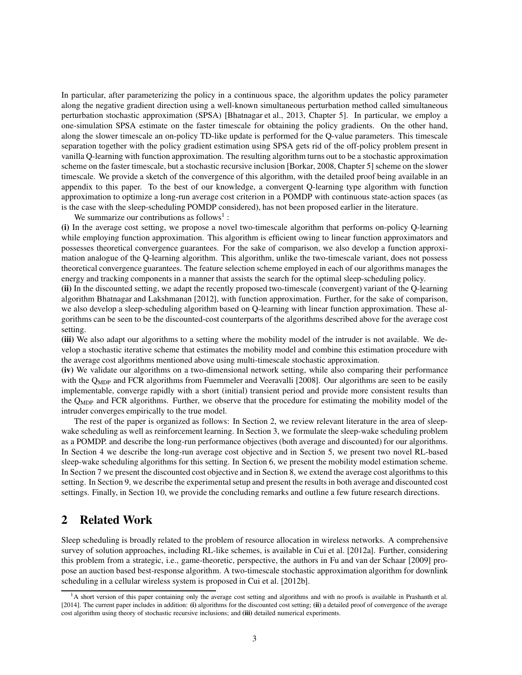In particular, after parameterizing the policy in a continuous space, the algorithm updates the policy parameter along the negative gradient direction using a well-known simultaneous perturbation method called simultaneous perturbation stochastic approximation (SPSA) [Bhatnagar et al., 2013, Chapter 5]. In particular, we employ a one-simulation SPSA estimate on the faster timescale for obtaining the policy gradients. On the other hand, along the slower timescale an on-policy TD-like update is performed for the Q-value parameters. This timescale separation together with the policy gradient estimation using SPSA gets rid of the off-policy problem present in vanilla Q-learning with function approximation. The resulting algorithm turns out to be a stochastic approximation scheme on the faster timescale, but a stochastic recursive inclusion [Borkar, 2008, Chapter 5] scheme on the slower timescale. We provide a sketch of the convergence of this algorithm, with the detailed proof being available in an appendix to this paper. To the best of our knowledge, a convergent Q-learning type algorithm with function approximation to optimize a long-run average cost criterion in a POMDP with continuous state-action spaces (as is the case with the sleep-scheduling POMDP considered), has not been proposed earlier in the literature.

We summarize our contributions as follows<sup>1</sup>:

**(i)** In the average cost setting, we propose a novel two-timescale algorithm that performs on-policy Q-learning while employing function approximation. This algorithm is efficient owing to linear function approximators and possesses theoretical convergence guarantees. For the sake of comparison, we also develop a function approximation analogue of the Q-learning algorithm. This algorithm, unlike the two-timescale variant, does not possess theoretical convergence guarantees. The feature selection scheme employed in each of our algorithms manages the energy and tracking components in a manner that assists the search for the optimal sleep-scheduling policy.

**(ii)** In the discounted setting, we adapt the recently proposed two-timescale (convergent) variant of the Q-learning algorithm Bhatnagar and Lakshmanan [2012], with function approximation. Further, for the sake of comparison, we also develop a sleep-scheduling algorithm based on Q-learning with linear function approximation. These algorithms can be seen to be the discounted-cost counterparts of the algorithms described above for the average cost setting.

**(iii)** We also adapt our algorithms to a setting where the mobility model of the intruder is not available. We develop a stochastic iterative scheme that estimates the mobility model and combine this estimation procedure with the average cost algorithms mentioned above using multi-timescale stochastic approximation.

**(iv)** We validate our algorithms on a two-dimensional network setting, while also comparing their performance with the Q<sub>MDP</sub> and FCR algorithms from Fuemmeler and Veeravalli [2008]. Our algorithms are seen to be easily implementable, converge rapidly with a short (initial) transient period and provide more consistent results than the QMDP and FCR algorithms. Further, we observe that the procedure for estimating the mobility model of the intruder converges empirically to the true model.

The rest of the paper is organized as follows: In Section 2, we review relevant literature in the area of sleepwake scheduling as well as reinforcement learning. In Section 3, we formulate the sleep-wake scheduling problem as a POMDP. and describe the long-run performance objectives (both average and discounted) for our algorithms. In Section 4 we describe the long-run average cost objective and in Section 5, we present two novel RL-based sleep-wake scheduling algorithms for this setting. In Section 6, we present the mobility model estimation scheme. In Section 7 we present the discounted cost objective and in Section 8, we extend the average cost algorithms to this setting. In Section 9, we describe the experimental setup and present the results in both average and discounted cost settings. Finally, in Section 10, we provide the concluding remarks and outline a few future research directions.

# **2 Related Work**

Sleep scheduling is broadly related to the problem of resource allocation in wireless networks. A comprehensive survey of solution approaches, including RL-like schemes, is available in Cui et al. [2012a]. Further, considering this problem from a strategic, i.e., game-theoretic, perspective, the authors in Fu and van der Schaar [2009] propose an auction based best-response algorithm. A two-timescale stochastic approximation algorithm for downlink scheduling in a cellular wireless system is proposed in Cui et al. [2012b].

<sup>&</sup>lt;sup>1</sup>A short version of this paper containing only the average cost setting and algorithms and with no proofs is available in Prashanth et al. [2014]. The current paper includes in addition: **(i)** algorithms for the discounted cost setting; **(ii)** a detailed proof of convergence of the average cost algorithm using theory of stochastic recursive inclusions; and **(iii)** detailed numerical experiments.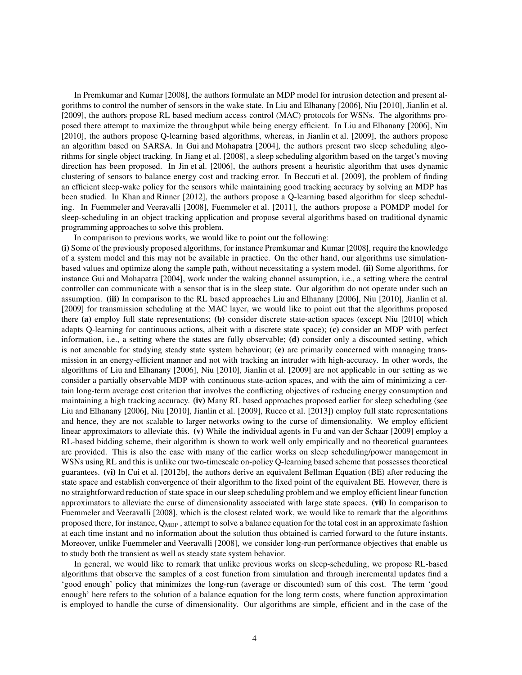In Premkumar and Kumar [2008], the authors formulate an MDP model for intrusion detection and present algorithms to control the number of sensors in the wake state. In Liu and Elhanany [2006], Niu [2010], Jianlin et al. [2009], the authors propose RL based medium access control (MAC) protocols for WSNs. The algorithms proposed there attempt to maximize the throughput while being energy efficient. In Liu and Elhanany [2006], Niu [2010], the authors propose Q-learning based algorithms, whereas, in Jianlin et al. [2009], the authors propose an algorithm based on SARSA. In Gui and Mohapatra [2004], the authors present two sleep scheduling algorithms for single object tracking. In Jiang et al. [2008], a sleep scheduling algorithm based on the target's moving direction has been proposed. In Jin et al. [2006], the authors present a heuristic algorithm that uses dynamic clustering of sensors to balance energy cost and tracking error. In Beccuti et al. [2009], the problem of finding an efficient sleep-wake policy for the sensors while maintaining good tracking accuracy by solving an MDP has been studied. In Khan and Rinner [2012], the authors propose a Q-learning based algorithm for sleep scheduling. In Fuemmeler and Veeravalli [2008], Fuemmeler et al. [2011], the authors propose a POMDP model for sleep-scheduling in an object tracking application and propose several algorithms based on traditional dynamic programming approaches to solve this problem.

In comparison to previous works, we would like to point out the following:

**(i)** Some of the previously proposed algorithms, for instance Premkumar and Kumar [2008], require the knowledge of a system model and this may not be available in practice. On the other hand, our algorithms use simulationbased values and optimize along the sample path, without necessitating a system model. **(ii)** Some algorithms, for instance Gui and Mohapatra [2004], work under the waking channel assumption, i.e., a setting where the central controller can communicate with a sensor that is in the sleep state. Our algorithm do not operate under such an assumption. **(iii)** In comparison to the RL based approaches Liu and Elhanany [2006], Niu [2010], Jianlin et al. [2009] for transmission scheduling at the MAC layer, we would like to point out that the algorithms proposed there **(a)** employ full state representations; **(b)** consider discrete state-action spaces (except Niu [2010] which adapts Q-learning for continuous actions, albeit with a discrete state space); **(c)** consider an MDP with perfect information, i.e., a setting where the states are fully observable; **(d)** consider only a discounted setting, which is not amenable for studying steady state system behaviour; **(e)** are primarily concerned with managing transmission in an energy-efficient manner and not with tracking an intruder with high-accuracy. In other words, the algorithms of Liu and Elhanany [2006], Niu [2010], Jianlin et al. [2009] are not applicable in our setting as we consider a partially observable MDP with continuous state-action spaces, and with the aim of minimizing a certain long-term average cost criterion that involves the conflicting objectives of reducing energy consumption and maintaining a high tracking accuracy. **(iv)** Many RL based approaches proposed earlier for sleep scheduling (see Liu and Elhanany [2006], Niu [2010], Jianlin et al. [2009], Rucco et al. [2013]) employ full state representations and hence, they are not scalable to larger networks owing to the curse of dimensionality. We employ efficient linear approximators to alleviate this. **(v)** While the individual agents in Fu and van der Schaar [2009] employ a RL-based bidding scheme, their algorithm is shown to work well only empirically and no theoretical guarantees are provided. This is also the case with many of the earlier works on sleep scheduling/power management in WSNs using RL and this is unlike our two-timescale on-policy Q-learning based scheme that possesses theoretical guarantees. **(vi)** In Cui et al. [2012b], the authors derive an equivalent Bellman Equation (BE) after reducing the state space and establish convergence of their algorithm to the fixed point of the equivalent BE. However, there is no straightforward reduction of state space in our sleep scheduling problem and we employ efficient linear function approximators to alleviate the curse of dimensionality associated with large state spaces. **(vii)** In comparison to Fuemmeler and Veeravalli [2008], which is the closest related work, we would like to remark that the algorithms proposed there, for instance,  $Q_{MDP}$ , attempt to solve a balance equation for the total cost in an approximate fashion at each time instant and no information about the solution thus obtained is carried forward to the future instants. Moreover, unlike Fuemmeler and Veeravalli [2008], we consider long-run performance objectives that enable us to study both the transient as well as steady state system behavior.

In general, we would like to remark that unlike previous works on sleep-scheduling, we propose RL-based algorithms that observe the samples of a cost function from simulation and through incremental updates find a 'good enough' policy that minimizes the long-run (average or discounted) sum of this cost. The term 'good enough' here refers to the solution of a balance equation for the long term costs, where function approximation is employed to handle the curse of dimensionality. Our algorithms are simple, efficient and in the case of the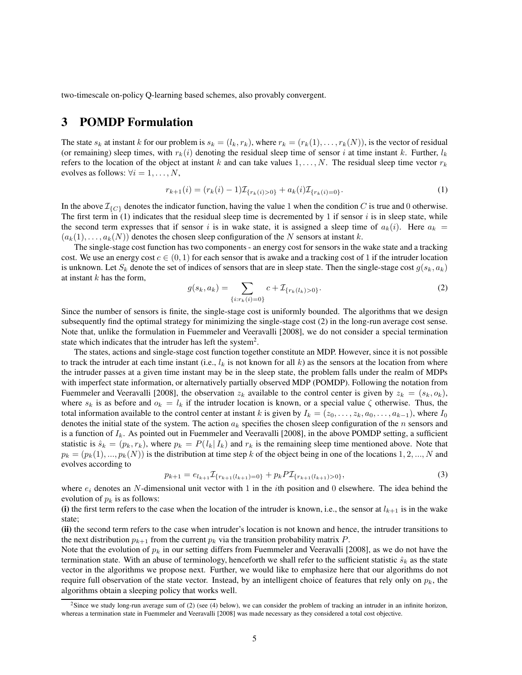two-timescale on-policy Q-learning based schemes, also provably convergent.

# **3 POMDP Formulation**

The state  $s_k$  at instant k for our problem is  $s_k = (l_k, r_k)$ , where  $r_k = (r_k(1), \ldots, r_k(N))$ , is the vector of residual (or remaining) sleep times, with  $r_k(i)$  denoting the residual sleep time of sensor i at time instant k. Further,  $l_k$ refers to the location of the object at instant k and can take values  $1, \ldots, N$ . The residual sleep time vector  $r_k$ evolves as follows:  $\forall i = 1, \ldots, N$ ,

$$
r_{k+1}(i) = (r_k(i) - 1)\mathcal{I}_{\{r_k(i) > 0\}} + a_k(i)\mathcal{I}_{\{r_k(i) = 0\}}.\tag{1}
$$

In the above  $\mathcal{I}_{\{C\}}$  denotes the indicator function, having the value 1 when the condition C is true and 0 otherwise. The first term in (1) indicates that the residual sleep time is decremented by 1 if sensor  $i$  is in sleep state, while the second term expresses that if sensor i is in wake state, it is assigned a sleep time of  $a_k(i)$ . Here  $a_k =$  $(a_k(1), \ldots, a_k(N))$  denotes the chosen sleep configuration of the N sensors at instant k.

The single-stage cost function has two components - an energy cost for sensors in the wake state and a tracking cost. We use an energy cost  $c \in (0, 1)$  for each sensor that is awake and a tracking cost of 1 if the intruder location is unknown. Let  $S_k$  denote the set of indices of sensors that are in sleep state. Then the single-stage cost  $g(s_k, a_k)$ at instant  $k$  has the form,

$$
g(s_k, a_k) = \sum_{\{i: r_k(i) = 0\}} c + \mathcal{I}_{\{r_k(l_k) > 0\}}.
$$
 (2)

Since the number of sensors is finite, the single-stage cost is uniformly bounded. The algorithms that we design subsequently find the optimal strategy for minimizing the single-stage cost (2) in the long-run average cost sense. Note that, unlike the formulation in Fuemmeler and Veeravalli [2008], we do not consider a special termination state which indicates that the intruder has left the system<sup>2</sup>.

The states, actions and single-stage cost function together constitute an MDP. However, since it is not possible to track the intruder at each time instant (i.e.,  $l_k$  is not known for all k) as the sensors at the location from where the intruder passes at a given time instant may be in the sleep state, the problem falls under the realm of MDPs with imperfect state information, or alternatively partially observed MDP (POMDP). Following the notation from Fuemmeler and Veeravalli [2008], the observation  $z_k$  available to the control center is given by  $z_k = (s_k, o_k)$ , where  $s_k$  is as before and  $o_k = l_k$  if the intruder location is known, or a special value  $\zeta$  otherwise. Thus, the total information available to the control center at instant k is given by  $I_k = (z_0, \ldots, z_k, a_0, \ldots, a_{k-1})$ , where  $I_0$ denotes the initial state of the system. The action  $a_k$  specifies the chosen sleep configuration of the n sensors and is a function of  $I_k$ . As pointed out in Fuemmeler and Veeravalli [2008], in the above POMDP setting, a sufficient statistic is  $\hat{s}_k = (p_k, r_k)$ , where  $p_k = P(l_k | I_k)$  and  $r_k$  is the remaining sleep time mentioned above. Note that  $p_k = (p_k(1), ..., p_k(N))$  is the distribution at time step k of the object being in one of the locations 1, 2, ..., N and evolves according to

$$
p_{k+1} = e_{l_{k+1}} \mathcal{I}_{\{r_{k+1}(l_{k+1})=0\}} + p_k P \mathcal{I}_{\{r_{k+1}(l_{k+1})>0\}},\tag{3}
$$

where  $e_i$  denotes an N-dimensional unit vector with 1 in the *i*th position and 0 elsewhere. The idea behind the evolution of  $p_k$  is as follows:

(i) the first term refers to the case when the location of the intruder is known, i.e., the sensor at  $l_{k+1}$  is in the wake state;

**(ii)** the second term refers to the case when intruder's location is not known and hence, the intruder transitions to the next distribution  $p_{k+1}$  from the current  $p_k$  via the transition probability matrix P.

Note that the evolution of  $p_k$  in our setting differs from Fuemmeler and Veeravalli [2008], as we do not have the termination state. With an abuse of terminology, henceforth we shall refer to the sufficient statistic  $\hat{s}_k$  as the state vector in the algorithms we propose next. Further, we would like to emphasize here that our algorithms do not require full observation of the state vector. Instead, by an intelligent choice of features that rely only on  $p_k$ , the algorithms obtain a sleeping policy that works well.

<sup>&</sup>lt;sup>2</sup>Since we study long-run average sum of (2) (see (4) below), we can consider the problem of tracking an intruder in an infinite horizon, whereas a termination state in Fuemmeler and Veeravalli [2008] was made necessary as they considered a total cost objective.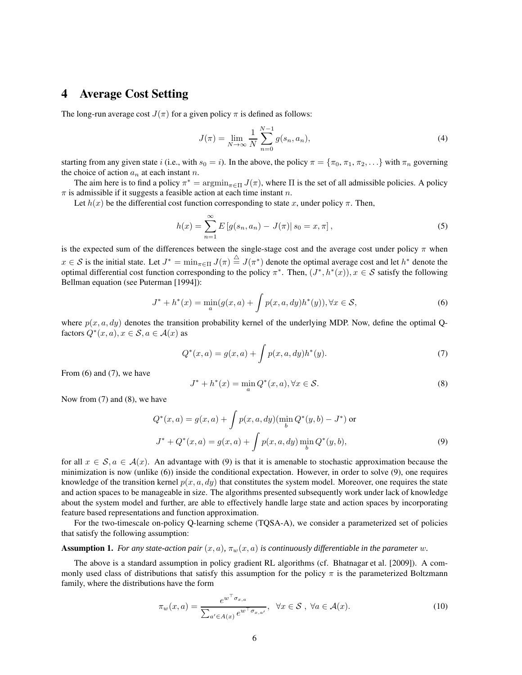# **4 Average Cost Setting**

The long-run average cost  $J(\pi)$  for a given policy  $\pi$  is defined as follows:

$$
J(\pi) = \lim_{N \to \infty} \frac{1}{N} \sum_{n=0}^{N-1} g(s_n, a_n),
$$
 (4)

starting from any given state i (i.e., with  $s_0 = i$ ). In the above, the policy  $\pi = {\pi_0, \pi_1, \pi_2, \dots}$  with  $\pi_n$  governing the choice of action  $a_n$  at each instant n.

The aim here is to find a policy  $\pi^* = \argmin_{\pi \in \Pi} J(\pi)$ , where  $\Pi$  is the set of all admissible policies. A policy  $\pi$  is admissible if it suggests a feasible action at each time instant n.

Let  $h(x)$  be the differential cost function corresponding to state x, under policy  $\pi$ . Then,

$$
h(x) = \sum_{n=1}^{\infty} E\left[g(s_n, a_n) - J(\pi)| s_0 = x, \pi\right],
$$
\n(5)

is the expected sum of the differences between the single-stage cost and the average cost under policy  $\pi$  when  $x \in S$  is the initial state. Let  $J^* = \min_{\pi \in \Pi} J(\pi) \stackrel{\triangle}{=} J(\pi^*)$  denote the optimal average cost and let  $h^*$  denote the optimal differential cost function corresponding to the policy  $\pi^*$ . Then,  $(J^*, h^*(x))$ ,  $x \in S$  satisfy the following Bellman equation (see Puterman [1994]):

$$
J^* + h^*(x) = \min_{a} (g(x, a) + \int p(x, a, dy) h^*(y)), \forall x \in S,
$$
\n(6)

where  $p(x, a, dy)$  denotes the transition probability kernel of the underlying MDP. Now, define the optimal Qfactors  $Q^*(x, a), x \in \mathcal{S}, a \in \mathcal{A}(x)$  as

$$
Q^*(x, a) = g(x, a) + \int p(x, a, dy) h^*(y).
$$
 (7)

From  $(6)$  and  $(7)$ , we have

$$
J^* + h^*(x) = \min_a Q^*(x, a), \forall x \in \mathcal{S}.
$$
\n(8)

Now from (7) and (8), we have

$$
Q^*(x, a) = g(x, a) + \int p(x, a, dy) (\min_b Q^*(y, b) - J^*) \text{ or}
$$
  

$$
J^* + Q^*(x, a) = g(x, a) + \int p(x, a, dy) \min_b Q^*(y, b),
$$
 (9)

for all  $x \in S$ ,  $a \in A(x)$ . An advantage with (9) is that it is amenable to stochastic approximation because the minimization is now (unlike (6)) inside the conditional expectation. However, in order to solve (9), one requires knowledge of the transition kernel  $p(x, a, dy)$  that constitutes the system model. Moreover, one requires the state and action spaces to be manageable in size. The algorithms presented subsequently work under lack of knowledge about the system model and further, are able to effectively handle large state and action spaces by incorporating feature based representations and function approximation.

For the two-timescale on-policy Q-learning scheme (TQSA-A), we consider a parameterized set of policies that satisfy the following assumption:

#### **Assumption 1.** *For any state-action pair*  $(x, a)$ ,  $\pi_w(x, a)$  *is continuously differentiable in the parameter* w.

The above is a standard assumption in policy gradient RL algorithms (cf. Bhatnagar et al. [2009]). A commonly used class of distributions that satisfy this assumption for the policy  $\pi$  is the parameterized Boltzmann family, where the distributions have the form

$$
\pi_w(x, a) = \frac{e^{w^\top \sigma_{x, a}}}{\sum_{a' \in A(x)} e^{w^\top \sigma_{x, a'}}}, \ \ \forall x \in S \ , \ \forall a \in \mathcal{A}(x). \tag{10}
$$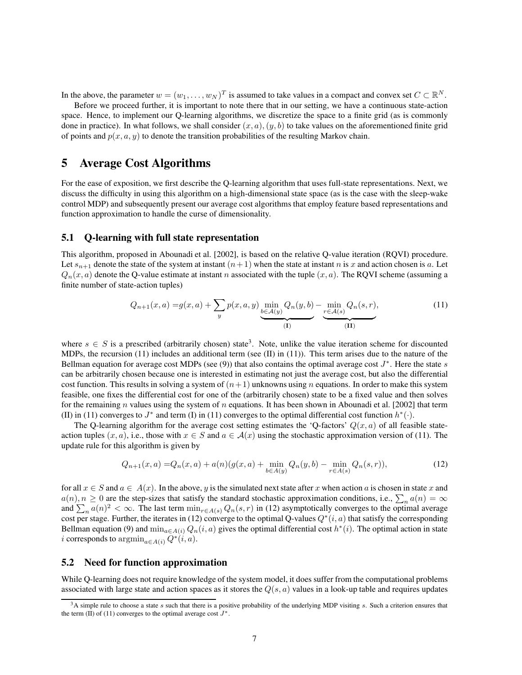In the above, the parameter  $w = (w_1, \dots, w_N)^T$  is assumed to take values in a compact and convex set  $C \subset \mathbb{R}^N$ .

Before we proceed further, it is important to note there that in our setting, we have a continuous state-action space. Hence, to implement our Q-learning algorithms, we discretize the space to a finite grid (as is commonly done in practice). In what follows, we shall consider  $(x, a)$ ,  $(y, b)$  to take values on the aforementioned finite grid of points and  $p(x, a, y)$  to denote the transition probabilities of the resulting Markov chain.

# **5 Average Cost Algorithms**

For the ease of exposition, we first describe the Q-learning algorithm that uses full-state representations. Next, we discuss the difficulty in using this algorithm on a high-dimensional state space (as is the case with the sleep-wake control MDP) and subsequently present our average cost algorithms that employ feature based representations and function approximation to handle the curse of dimensionality.

### **5.1 Q-learning with full state representation**

This algorithm, proposed in Abounadi et al. [2002], is based on the relative Q-value iteration (RQVI) procedure. Let  $s_{n+1}$  denote the state of the system at instant  $(n+1)$  when the state at instant n is x and action chosen is a. Let  $Q_n(x, a)$  denote the Q-value estimate at instant n associated with the tuple  $(x, a)$ . The RQVI scheme (assuming a finite number of state-action tuples)

$$
Q_{n+1}(x,a) = g(x,a) + \sum_{y} p(x,a,y) \underbrace{\min_{b \in \mathcal{A}(y)} Q_n(y,b)}_{(I)} - \underbrace{\min_{r \in \mathcal{A}(s)} Q_n(s,r)}_{(II)},
$$
(11)

where  $s \in S$  is a prescribed (arbitrarily chosen) state<sup>3</sup>. Note, unlike the value iteration scheme for discounted MDPs, the recursion (11) includes an additional term (see (II) in (11)). This term arises due to the nature of the Bellman equation for average cost MDPs (see (9)) that also contains the optimal average cost  $J^*$ . Here the state s can be arbitrarily chosen because one is interested in estimating not just the average cost, but also the differential cost function. This results in solving a system of  $(n+1)$  unknowns using n equations. In order to make this system feasible, one fixes the differential cost for one of the (arbitrarily chosen) state to be a fixed value and then solves for the remaining n values using the system of n equations. It has been shown in Abounadi et al. [2002] that term (II) in (11) converges to  $J^*$  and term (I) in (11) converges to the optimal differential cost function  $h^*(\cdot)$ .

The Q-learning algorithm for the average cost setting estimates the 'Q-factors'  $Q(x, a)$  of all feasible stateaction tuples  $(x, a)$ , i.e., those with  $x \in S$  and  $a \in \mathcal{A}(x)$  using the stochastic approximation version of (11). The update rule for this algorithm is given by

$$
Q_{n+1}(x,a) = Q_n(x,a) + a(n)(g(x,a) + \min_{b \in A(y)} Q_n(y,b) - \min_{r \in A(s)} Q_n(s,r)),
$$
\n(12)

for all  $x \in S$  and  $a \in A(x)$ . In the above, y is the simulated next state after x when action a is chosen in state x and  $a(n), n \geq 0$  are the step-sizes that satisfy the standard stochastic approximation conditions, i.e.,  $\sum_n a(n) = \infty$ and  $\sum_n a(n)^2 < \infty$ . The last term  $\min_{r \in A(s)} Q_n(s,r)$  in (12) asymptotically converges to the optimal average cost per stage. Further, the iterates in (12) converge to the optimal Q-values  $Q^*(i, a)$  that satisfy the corresponding Bellman equation (9) and  $\min_{a \in A(i)} Q_n(i, a)$  gives the optimal differential cost  $h^*(i)$ . The optimal action in state *i* corresponds to  $\operatorname{argmin}_{a \in A(i)} Q^*(i, a)$ .

### **5.2 Need for function approximation**

While Q-learning does not require knowledge of the system model, it does suffer from the computational problems associated with large state and action spaces as it stores the  $Q(s, a)$  values in a look-up table and requires updates

 $3A$  simple rule to choose a state s such that there is a positive probability of the underlying MDP visiting s. Such a criterion ensures that the term (II) of (11) converges to the optimal average cost  $J^*$ .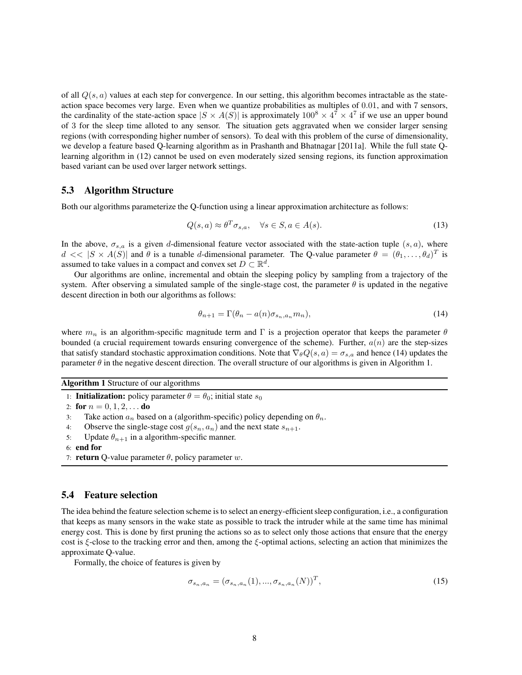of all  $Q(s, a)$  values at each step for convergence. In our setting, this algorithm becomes intractable as the stateaction space becomes very large. Even when we quantize probabilities as multiples of 0.01, and with 7 sensors, the cardinality of the state-action space  $|S \times A(S)|$  is approximately  $100^8 \times 4^7 \times 4^7$  if we use an upper bound of 3 for the sleep time alloted to any sensor. The situation gets aggravated when we consider larger sensing regions (with corresponding higher number of sensors). To deal with this problem of the curse of dimensionality, we develop a feature based Q-learning algorithm as in Prashanth and Bhatnagar [2011a]. While the full state Qlearning algorithm in (12) cannot be used on even moderately sized sensing regions, its function approximation based variant can be used over larger network settings.

### **5.3 Algorithm Structure**

Both our algorithms parameterize the Q-function using a linear approximation architecture as follows:

$$
Q(s, a) \approx \theta^T \sigma_{s, a}, \quad \forall s \in S, a \in A(s).
$$
\n<sup>(13)</sup>

In the above,  $\sigma_{s,a}$  is a given d-dimensional feature vector associated with the state-action tuple  $(s, a)$ , where  $d \ll |S \times A(S)|$  and  $\theta$  is a tunable d-dimensional parameter. The Q-value parameter  $\theta = (\theta_1, \dots, \theta_d)^T$  is assumed to take values in a compact and convex set  $D \subset \mathbb{R}^d$ .

Our algorithms are online, incremental and obtain the sleeping policy by sampling from a trajectory of the system. After observing a simulated sample of the single-stage cost, the parameter  $\theta$  is updated in the negative descent direction in both our algorithms as follows:

$$
\theta_{n+1} = \Gamma(\theta_n - a(n)\sigma_{s_n, a_n} m_n),\tag{14}
$$

where  $m_n$  is an algorithm-specific magnitude term and Γ is a projection operator that keeps the parameter  $\theta$ bounded (a crucial requirement towards ensuring convergence of the scheme). Further,  $a(n)$  are the step-sizes that satisfy standard stochastic approximation conditions. Note that  $\nabla_{\theta} Q(s, a) = \sigma_{s,a}$  and hence (14) updates the parameter  $\theta$  in the negative descent direction. The overall structure of our algorithms is given in Algorithm 1.

**Algorithm 1** Structure of our algorithms

1: **Initialization:** policy parameter  $\theta = \theta_0$ ; initial state  $s_0$ 

2: **for**  $n = 0, 1, 2, \ldots$  **do** 

3: Take action  $a_n$  based on a (algorithm-specific) policy depending on  $\theta_n$ .

4: Observe the single-stage cost  $g(s_n, a_n)$  and the next state  $s_{n+1}$ .

- 5: Update  $\theta_{n+1}$  in a algorithm-specific manner.
- 6: **end for**
- 7: **return** Q-value parameter  $\theta$ , policy parameter w.

#### **5.4 Feature selection**

The idea behind the feature selection scheme is to select an energy-efficient sleep configuration, i.e., a configuration that keeps as many sensors in the wake state as possible to track the intruder while at the same time has minimal energy cost. This is done by first pruning the actions so as to select only those actions that ensure that the energy cost is ξ-close to the tracking error and then, among the ξ-optimal actions, selecting an action that minimizes the approximate Q-value.

Formally, the choice of features is given by

$$
\sigma_{s_n, a_n} = (\sigma_{s_n, a_n}(1), \dots, \sigma_{s_n, a_n}(N))^T, \tag{15}
$$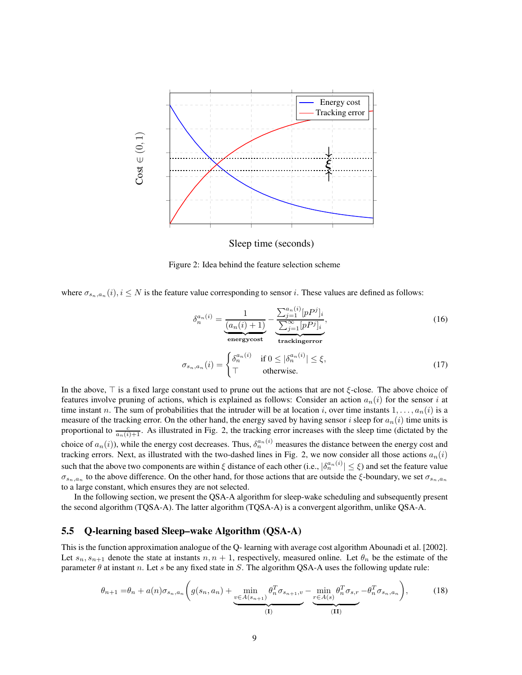

Sleep time (seconds)

Figure 2: Idea behind the feature selection scheme

where  $\sigma_{s_n,a_n}(i), i \leq N$  is the feature value corresponding to sensor i. These values are defined as follows:

$$
\delta_n^{a_n(i)} = \underbrace{\frac{1}{(a_n(i) + 1)}}_{\text{energycost}} - \underbrace{\frac{\sum_{j=1}^{a_n(i)} [pP^j]_i}{\sum_{j=1}^{\infty} [pP^j]_i}}_{\text{trackingerror}},\tag{16}
$$

$$
\sigma_{s_n, a_n}(i) = \begin{cases} \delta_n^{a_n(i)} & \text{if } 0 \le |\delta_n^{a_n(i)}| \le \xi, \\ \top & \text{otherwise.} \end{cases} \tag{17}
$$

In the above,  $\top$  is a fixed large constant used to prune out the actions that are not  $\xi$ -close. The above choice of features involve pruning of actions, which is explained as follows: Consider an action  $a_n(i)$  for the sensor i at time instant n. The sum of probabilities that the intruder will be at location i, over time instants  $1, \ldots, a_n(i)$  is a measure of the tracking error. On the other hand, the energy saved by having sensor i sleep for  $a_n(i)$  time units is proportional to  $\frac{c}{a_n(i)+1}$ . As illustrated in Fig. 2, the tracking error increases with the sleep time (dictated by the choice of  $a_n(i)$ ), while the energy cost decreases. Thus,  $\delta_n^{a_n(i)}$  measures the distance between the energy cost and tracking errors. Next, as illustrated with the two-dashed lines in Fig. 2, we now consider all those actions  $a_n(i)$ such that the above two components are within  $\xi$  distance of each other (i.e.,  $|\delta_n^{a_n(i)}| \leq \xi$ ) and set the feature value  $\sigma_{s_n,a_n}$  to the above difference. On the other hand, for those actions that are outside the  $\xi$ -boundary, we set  $\sigma_{s_n,a_n}$ to a large constant, which ensures they are not selected.

In the following section, we present the QSA-A algorithm for sleep-wake scheduling and subsequently present the second algorithm (TQSA-A). The latter algorithm (TQSA-A) is a convergent algorithm, unlike QSA-A.

### **5.5 Q-learning based Sleep–wake Algorithm (QSA-A)**

This is the function approximation analogue of the Q- learning with average cost algorithm Abounadi et al. [2002]. Let  $s_n, s_{n+1}$  denote the state at instants  $n, n + 1$ , respectively, measured online. Let  $\theta_n$  be the estimate of the parameter  $\theta$  at instant n. Let s be any fixed state in S. The algorithm QSA-A uses the following update rule:

$$
\theta_{n+1} = \theta_n + a(n)\sigma_{s_n, a_n} \left( g(s_n, a_n) + \underbrace{\min_{v \in A(s_{n+1})} \theta_n^T \sigma_{s_{n+1}, v}}_{(I)} - \underbrace{\min_{v \in A(s)} \theta_n^T \sigma_{s, r}}_{(II)} - \theta_n^T \sigma_{s_n, a_n} \right),
$$
(18)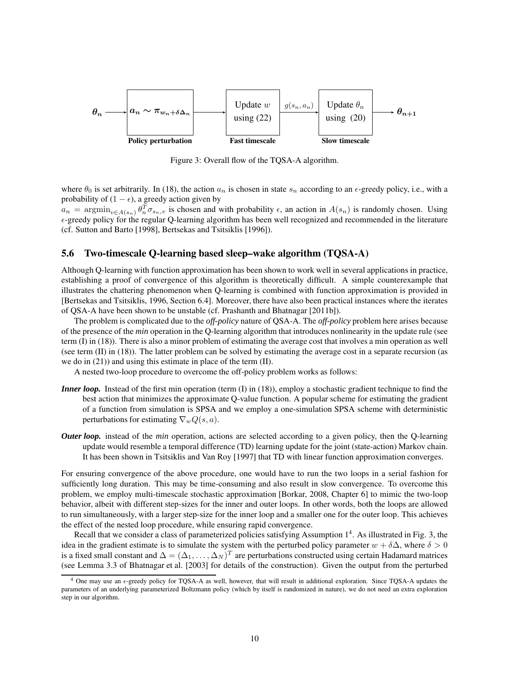

Figure 3: Overall flow of the TQSA-A algorithm.

where  $\theta_0$  is set arbitrarily. In (18), the action  $a_n$  is chosen in state  $s_n$  according to an  $\epsilon$ -greedy policy, i.e., with a probability of  $(1 - \epsilon)$ , a greedy action given by

 $a_n = \text{argmin}_{v \in A(s_n)} \theta_n^T \sigma_{s_n,v}$  is chosen and with probability  $\epsilon$ , an action in  $A(s_n)$  is randomly chosen. Using  $\epsilon$ -greedy policy for the regular Q-learning algorithm has been well recognized and recommended in the literature (cf. Sutton and Barto [1998], Bertsekas and Tsitsiklis [1996]).

### **5.6 Two-timescale Q-learning based sleep–wake algorithm (TQSA-A)**

Although Q-learning with function approximation has been shown to work well in several applications in practice, establishing a proof of convergence of this algorithm is theoretically difficult. A simple counterexample that illustrates the chattering phenomenon when Q-learning is combined with function approximation is provided in [Bertsekas and Tsitsiklis, 1996, Section 6.4]. Moreover, there have also been practical instances where the iterates of QSA-A have been shown to be unstable (cf. Prashanth and Bhatnagar [2011b]).

The problem is complicated due to the *off-policy* nature of QSA-A. The *off-policy* problem here arises because of the presence of the *min* operation in the Q-learning algorithm that introduces nonlinearity in the update rule (see term (I) in (18)). There is also a minor problem of estimating the average cost that involves a min operation as well (see term (II) in (18)). The latter problem can be solved by estimating the average cost in a separate recursion (as we do in (21)) and using this estimate in place of the term (II).

A nested two-loop procedure to overcome the off-policy problem works as follows:

- *Inner loop.* Instead of the first min operation (term (I) in (18)), employ a stochastic gradient technique to find the best action that minimizes the approximate Q-value function. A popular scheme for estimating the gradient of a function from simulation is SPSA and we employ a one-simulation SPSA scheme with deterministic perturbations for estimating  $\nabla_w Q(s, a)$ .
- *Outer loop.* instead of the *min* operation, actions are selected according to a given policy, then the Q-learning update would resemble a temporal difference (TD) learning update for the joint (state-action) Markov chain. It has been shown in Tsitsiklis and Van Roy [1997] that TD with linear function approximation converges.

For ensuring convergence of the above procedure, one would have to run the two loops in a serial fashion for sufficiently long duration. This may be time-consuming and also result in slow convergence. To overcome this problem, we employ multi-timescale stochastic approximation [Borkar, 2008, Chapter 6] to mimic the two-loop behavior, albeit with different step-sizes for the inner and outer loops. In other words, both the loops are allowed to run simultaneously, with a larger step-size for the inner loop and a smaller one for the outer loop. This achieves the effect of the nested loop procedure, while ensuring rapid convergence.

Recall that we consider a class of parameterized policies satisfying Assumption 1<sup>4</sup>. As illustrated in Fig. 3, the idea in the gradient estimate is to simulate the system with the perturbed policy parameter  $w + \delta \Delta$ , where  $\delta > 0$ is a fixed small constant and  $\Delta=(\Delta_1,\ldots,\Delta_N)^T$  are perturbations constructed using certain Hadamard matrices (see Lemma 3.3 of Bhatnagar et al. [2003] for details of the construction). Given the output from the perturbed

One may use an  $\epsilon$ -greedy policy for TQSA-A as well, however, that will result in additional exploration. Since TQSA-A updates the parameters of an underlying parameterized Boltzmann policy (which by itself is randomized in nature), we do not need an extra exploration step in our algorithm.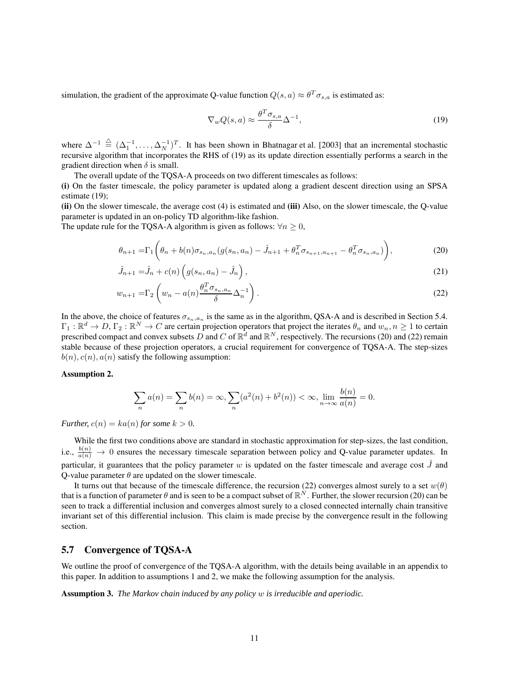simulation, the gradient of the approximate Q-value function  $Q(s, a) \approx \theta^T \sigma_{s,a}$  is estimated as:

$$
\nabla_w Q(s, a) \approx \frac{\theta^T \sigma_{s, a}}{\delta} \Delta^{-1},\tag{19}
$$

where  $\Delta^{-1} \triangleq (\Delta_1^{-1}, \ldots, \Delta_N^{-1})^T$ . It has been shown in Bhatnagar et al. [2003] that an incremental stochastic recursive algorithm that incorporates the RHS of (19) as its update direction essentially performs a search in the gradient direction when  $\delta$  is small.

The overall update of the TQSA-A proceeds on two different timescales as follows: **(i)** On the faster timescale, the policy parameter is updated along a gradient descent direction using an SPSA estimate (19);

**(ii)** On the slower timescale, the average cost (4) is estimated and **(iii)** Also, on the slower timescale, the Q-value parameter is updated in an on-policy TD algorithm-like fashion.

The update rule for the TQSA-A algorithm is given as follows:  $\forall n \geq 0$ ,

$$
\theta_{n+1} = \Gamma_1 \left( \theta_n + b(n) \sigma_{s_n, a_n} (g(s_n, a_n) - \hat{J}_{n+1} + \theta_n^T \sigma_{s_{n+1}, a_{n+1}} - \theta_n^T \sigma_{s_n, a_n}) \right),
$$
(20)

$$
\hat{J}_{n+1} = \hat{J}_n + c(n) \left( g(s_n, a_n) - \hat{J}_n \right),\tag{21}
$$

$$
w_{n+1} = \Gamma_2 \left( w_n - a(n) \frac{\theta_n^T \sigma_{s_n, a_n}}{\delta} \Delta_n^{-1} \right). \tag{22}
$$

In the above, the choice of features  $\sigma_{s_n,a_n}$  is the same as in the algorithm, QSA-A and is described in Section 5.4.  $\Gamma_1:\mathbb{R}^d\to D, \Gamma_2:\mathbb{R}^N\to C$  are certain projection operators that project the iterates  $\theta_n$  and  $w_n, n\geq 1$  to certain prescribed compact and convex subsets D and C of  $\mathbb{R}^d$  and  $\mathbb{R}^N$ , respectively. The recursions (20) and (22) remain stable because of these projection operators, a crucial requirement for convergence of TQSA-A. The step-sizes  $b(n), c(n), a(n)$  satisfy the following assumption:

#### **Assumption 2.**

$$
\sum_{n} a(n) = \sum_{n} b(n) = \infty, \sum_{n} (a^{2}(n) + b^{2}(n)) < \infty, \lim_{n \to \infty} \frac{b(n)}{a(n)} = 0.
$$

*Further,*  $c(n) = ka(n)$  *for some*  $k > 0$ *.* 

While the first two conditions above are standard in stochastic approximation for step-sizes, the last condition, i.e.,  $\frac{b(n)}{a(n)} \to 0$  ensures the necessary timescale separation between policy and Q-value parameter updates. In particular, it guarantees that the policy parameter w is updated on the faster timescale and average cost  $\hat{J}$  and Q-value parameter  $\theta$  are updated on the slower timescale.

It turns out that because of the timescale difference, the recursion (22) converges almost surely to a set  $w(\theta)$ that is a function of parameter  $\theta$  and is seen to be a compact subset of  $\mathbb{R}^N$ . Further, the slower recursion (20) can be seen to track a differential inclusion and converges almost surely to a closed connected internally chain transitive invariant set of this differential inclusion. This claim is made precise by the convergence result in the following section.

### **5.7 Convergence of TQSA-A**

We outline the proof of convergence of the TQSA-A algorithm, with the details being available in an appendix to this paper. In addition to assumptions 1 and 2, we make the following assumption for the analysis.

**Assumption 3.** *The Markov chain induced by any policy* w *is irreducible and aperiodic.*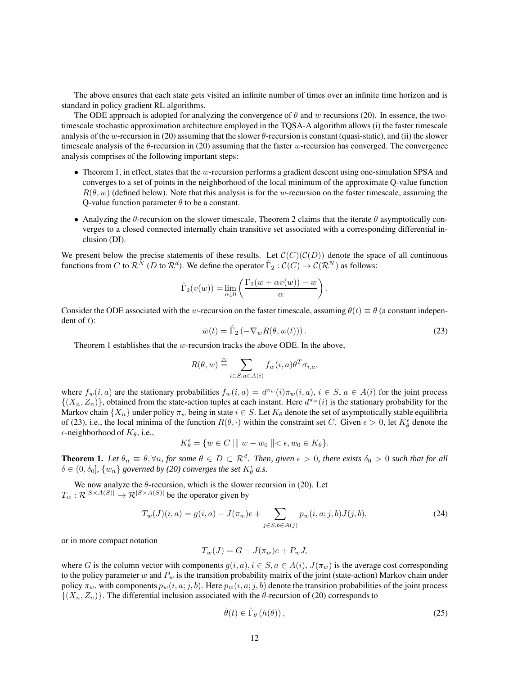The above ensures that each state gets visited an infinite number of times over an infinite time horizon and is standard in policy gradient RL algorithms.

The ODE approach is adopted for analyzing the convergence of  $\theta$  and w recursions (20). In essence, the twotimescale stochastic approximation architecture employed in the TQSA-A algorithm allows (i) the faster timescale analysis of the w-recursion in (20) assuming that the slower  $\theta$ -recursion is constant (quasi-static), and (ii) the slower timescale analysis of the  $\theta$ -recursion in (20) assuming that the faster w-recursion has converged. The convergence analysis comprises of the following important steps:

- Theorem 1, in effect, states that the w-recursion performs a gradient descent using one-simulation SPSA and converges to a set of points in the neighborhood of the local minimum of the approximate Q-value function  $R(\theta, w)$  (defined below). Note that this analysis is for the w-recursion on the faster timescale, assuming the O-value function parameter  $\theta$  to be a constant.
- Analyzing the  $\theta$ -recursion on the slower timescale, Theorem 2 claims that the iterate  $\theta$  asymptotically converges to a closed connected internally chain transitive set associated with a corresponding differential inclusion (DI).

We present below the precise statements of these results. Let  $\mathcal{C}(C)(\mathcal{C}(D))$  denote the space of all continuous functions from C to  $\mathcal{R}^{\bar{N}}$  (D to  $\mathcal{R}^d$ ). We define the operator  $\hat{\Gamma}_2:\mathcal{C}(C)\to\mathcal{C}(\mathcal{R}^N)$  as follows:

$$
\widehat{\Gamma}_2(v(w)) = \lim_{\alpha \downarrow 0} \left( \frac{\Gamma_2(w + \alpha v(w)) - w}{\alpha} \right).
$$

Consider the ODE associated with the w-recursion on the faster timescale, assuming  $\theta(t) \equiv \theta$  (a constant independent of  $t$ ):

$$
\dot{w}(t) = \hat{\Gamma}_2 \left( -\nabla_w R(\theta, w(t)) \right). \tag{23}
$$

Theorem 1 establishes that the  $w$ -recursion tracks the above ODE. In the above,

$$
R(\theta, w) \stackrel{\triangle}{=} \sum_{i \in S, a \in A(i)} f_w(i, a) \theta^T \sigma_{i, a},
$$

where  $f_w(i, a)$  are the stationary probabilities  $f_w(i, a) = d^{\pi_w}(i) \pi_w(i, a), i \in S$ ,  $a \in A(i)$  for the joint process  $\{(X_n, Z_n)\}\)$ , obtained from the state-action tuples at each instant. Here  $d^{\pi_w}(i)$  is the stationary probability for the Markov chain  $\{X_n\}$  under policy  $\pi_w$  being in state  $i \in S$ . Let  $K_\theta$  denote the set of asymptotically stable equilibria of (23), i.e., the local minima of the function  $R(\theta, \cdot)$  within the constraint set C. Given  $\epsilon > 0$ , let  $K^{\epsilon}_{\theta}$  denote the  $\epsilon$ -neighborhood of  $K_{\theta}$ , i.e.,

$$
K_{\theta}^{\epsilon} = \{ w \in C \mid || w - w_0 || < \epsilon, w_0 \in K_{\theta} \}.
$$

**Theorem 1.** Let  $\theta_n \equiv \theta$ ,  $\forall n$ , for some  $\theta \in D \subset \mathbb{R}^d$ . Then, given  $\epsilon > 0$ , there exists  $\delta_0 > 0$  such that for all  $\delta \in (0, \delta_0]$ ,  $\{w_n\}$  governed by (20) converges the set  $K^{\epsilon}_{\theta}$  a.s.

We now analyze the  $\theta$ -recursion, which is the slower recursion in (20). Let  $T_w : \mathcal{R}^{|S \times A(S)|} \rightarrow \mathcal{R}^{|S \times A(S)|}$  be the operator given by

$$
T_w(J)(i,a) = g(i,a) - J(\pi_w)e + \sum_{j \in S, b \in A(j)} p_w(i,a;j,b)J(j,b),
$$
\n(24)

or in more compact notation

$$
T_w(J) = G - J(\pi_w)e + P_w J,
$$

where G is the column vector with components  $g(i, a), i \in S, a \in A(i), J(\pi_w)$  is the average cost corresponding to the policy parameter w and  $P_w$  is the transition probability matrix of the joint (state-action) Markov chain under policy  $\pi_w$ , with components  $p_w(i, a; j, b)$ . Here  $p_w(i, a; j, b)$  denote the transition probabilities of the joint process  $\{(X_n, Z_n)\}\.$  The differential inclusion associated with the  $\theta$ -recursion of (20) corresponds to

$$
\dot{\theta}(t) \in \hat{\Gamma}_{\theta} \left( h(\theta) \right), \tag{25}
$$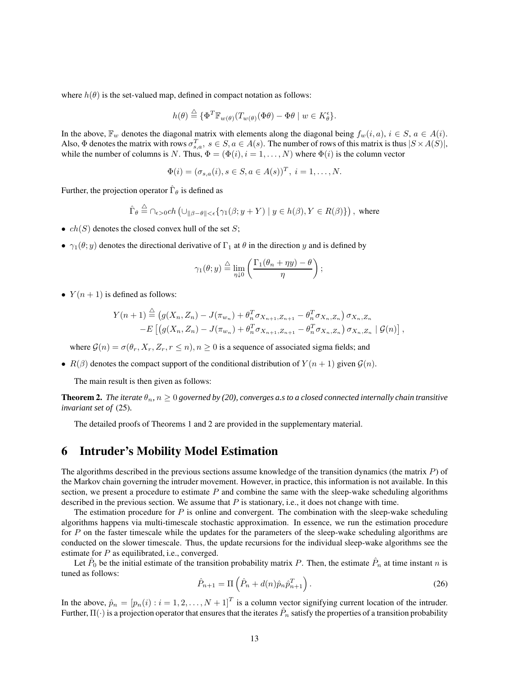where  $h(\theta)$  is the set-valued map, defined in compact notation as follows:

$$
h(\theta) \stackrel{\triangle}{=} \{ \Phi^T \mathbb{F}_{w(\theta)}(T_{w(\theta)}(\Phi \theta) - \Phi \theta \mid w \in K_\theta^\epsilon \}.
$$

In the above,  $\mathbb{F}_w$  denotes the diagonal matrix with elements along the diagonal being  $f_w(i, a)$ ,  $i \in S$ ,  $a \in A(i)$ . Also,  $\Phi$  denotes the matrix with rows  $\sigma_{s,a}^T$ ,  $s \in S$ ,  $a \in A(s)$ . The number of rows of this matrix is thus  $|S \times A(S)|$ , while the number of columns is N. Thus,  $\Phi = (\Phi(i), i = 1, \dots, N)$  where  $\Phi(i)$  is the column vector

$$
\Phi(i) = (\sigma_{s,a}(i), s \in S, a \in A(s))^T, \ i = 1, \dots, N.
$$

Further, the projection operator  $\hat{\Gamma}_{\theta}$  is defined as

$$
\hat{\Gamma}_{\theta} \stackrel{\triangle}{=} \cap_{\epsilon > 0} ch \left( \cup_{\|\beta - \theta\| < \epsilon} \{ \gamma_1(\beta; y + Y) \mid y \in h(\beta), Y \in R(\beta) \} \right), \text{ where}
$$

- $ch(S)$  denotes the closed convex hull of the set S;
- $\gamma_1(\theta; y)$  denotes the directional derivative of  $\Gamma_1$  at  $\theta$  in the direction y and is defined by

$$
\gamma_1(\theta; y) \stackrel{\triangle}{=} \lim_{\eta \downarrow 0} \left( \frac{\Gamma_1(\theta_n + \eta y) - \theta}{\eta} \right);
$$

•  $Y(n + 1)$  is defined as follows:

$$
Y(n + 1) \stackrel{\triangle}{=} (g(X_n, Z_n) - J(\pi_{w_n}) + \theta_n^T \sigma_{X_{n+1}, Z_{n+1}} - \theta_n^T \sigma_{X_n, Z_n}) \sigma_{X_n, Z_n}
$$
  
-
$$
E [(g(X_n, Z_n) - J(\pi_{w_n}) + \theta_n^T \sigma_{X_{n+1}, Z_{n+1}} - \theta_n^T \sigma_{X_n, Z_n}) \sigma_{X_n, Z_n} | \mathcal{G}(n)],
$$

where  $\mathcal{G}(n) = \sigma(\theta_r, X_r, Z_r, r \leq n), n \geq 0$  is a sequence of associated sigma fields; and

•  $R(\beta)$  denotes the compact support of the conditional distribution of  $Y(n+1)$  given  $\mathcal{G}(n)$ .

The main result is then given as follows:

**Theorem 2.** *The iterate*  $\theta_n$ ,  $n \geq 0$  *governed by (20), converges a.s to a closed connected internally chain transitive invariant set of* (25)*.*

The detailed proofs of Theorems 1 and 2 are provided in the supplementary material.

# **6 Intruder's Mobility Model Estimation**

The algorithms described in the previous sections assume knowledge of the transition dynamics (the matrix  $P$ ) of the Markov chain governing the intruder movement. However, in practice, this information is not available. In this section, we present a procedure to estimate  $P$  and combine the same with the sleep-wake scheduling algorithms described in the previous section. We assume that  $P$  is stationary, i.e., it does not change with time.

The estimation procedure for  $P$  is online and convergent. The combination with the sleep-wake scheduling algorithms happens via multi-timescale stochastic approximation. In essence, we run the estimation procedure for P on the faster timescale while the updates for the parameters of the sleep-wake scheduling algorithms are conducted on the slower timescale. Thus, the update recursions for the individual sleep-wake algorithms see the estimate for  $P$  as equilibrated, i.e., converged.

Let  $\hat{P}_0$  be the initial estimate of the transition probability matrix P. Then, the estimate  $\hat{P}_n$  at time instant n is tuned as follows:

$$
\hat{P}_{n+1} = \Pi \left( \hat{P}_n + d(n) \hat{p}_n \hat{p}_{n+1}^T \right).
$$
\n(26)

In the above,  $\hat{p}_n = [p_n(i) : i = 1, 2, ..., N+1]^T$  is a column vector signifying current location of the intruder. Further,  $\Pi(\cdot)$  is a projection operator that ensures that the iterates  $\hat{P}_n$  satisfy the properties of a transition probability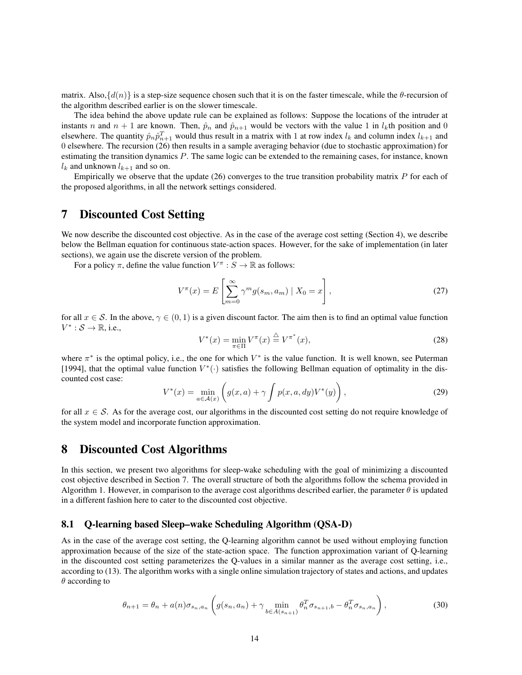matrix. Also, $\{d(n)\}\$ is a step-size sequence chosen such that it is on the faster timescale, while the  $\theta$ -recursion of the algorithm described earlier is on the slower timescale.

The idea behind the above update rule can be explained as follows: Suppose the locations of the intruder at instants n and  $n + 1$  are known. Then,  $\hat{p}_n$  and  $\hat{p}_{n+1}$  would be vectors with the value 1 in  $l_k$ th position and 0 elsewhere. The quantity  $\hat{p}_n \hat{p}_{n+1}^T$  would thus result in a matrix with 1 at row index  $l_k$  and column index  $l_{k+1}$  and 0 elsewhere. The recursion (26) then results in a sample averaging behavior (due to stochastic approximation) for estimating the transition dynamics P. The same logic can be extended to the remaining cases, for instance, known  $l_k$  and unknown  $l_{k+1}$  and so on.

Empirically we observe that the update (26) converges to the true transition probability matrix P for each of the proposed algorithms, in all the network settings considered.

### **7 Discounted Cost Setting**

We now describe the discounted cost objective. As in the case of the average cost setting (Section 4), we describe below the Bellman equation for continuous state-action spaces. However, for the sake of implementation (in later sections), we again use the discrete version of the problem.

For a policy  $\pi$ , define the value function  $V^{\pi}$  :  $S \to \mathbb{R}$  as follows:

$$
V^{\pi}(x) = E\left[\sum_{m=0}^{\infty} \gamma^m g(s_m, a_m) \mid X_0 = x\right],
$$
\n(27)

for all  $x \in S$ . In the above,  $\gamma \in (0,1)$  is a given discount factor. The aim then is to find an optimal value function  $V^* : \mathcal{S} \to \mathbb{R}$ , i.e.,

$$
V^*(x) = \min_{\pi \in \Pi} V^\pi(x) \stackrel{\triangle}{=} V^{\pi^*}(x),\tag{28}
$$

where  $\pi^*$  is the optimal policy, i.e., the one for which  $V^*$  is the value function. It is well known, see Puterman [1994], that the optimal value function  $V^*(\cdot)$  satisfies the following Bellman equation of optimality in the discounted cost case:

$$
V^*(x) = \min_{a \in \mathcal{A}(x)} \left( g(x, a) + \gamma \int p(x, a, dy) V^*(y) \right),
$$
 (29)

for all  $x \in S$ . As for the average cost, our algorithms in the discounted cost setting do not require knowledge of the system model and incorporate function approximation.

### **8 Discounted Cost Algorithms**

In this section, we present two algorithms for sleep-wake scheduling with the goal of minimizing a discounted cost objective described in Section 7. The overall structure of both the algorithms follow the schema provided in Algorithm 1. However, in comparison to the average cost algorithms described earlier, the parameter  $\theta$  is updated in a different fashion here to cater to the discounted cost objective.

### **8.1 Q-learning based Sleep–wake Scheduling Algorithm (QSA-D)**

As in the case of the average cost setting, the Q-learning algorithm cannot be used without employing function approximation because of the size of the state-action space. The function approximation variant of Q-learning in the discounted cost setting parameterizes the Q-values in a similar manner as the average cost setting, i.e., according to (13). The algorithm works with a single online simulation trajectory of states and actions, and updates  $\theta$  according to

$$
\theta_{n+1} = \theta_n + a(n)\sigma_{s_n, a_n} \left( g(s_n, a_n) + \gamma \min_{b \in A(s_{n+1})} \theta_n^T \sigma_{s_{n+1}, b} - \theta_n^T \sigma_{s_n, a_n} \right),
$$
\n(30)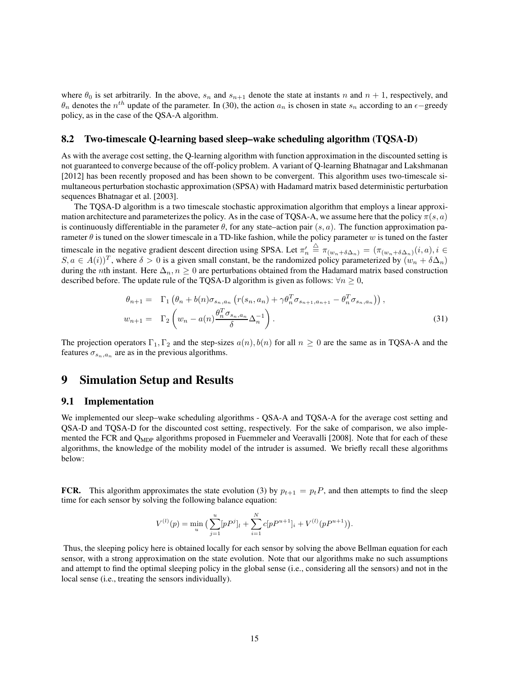where  $\theta_0$  is set arbitrarily. In the above,  $s_n$  and  $s_{n+1}$  denote the state at instants n and  $n + 1$ , respectively, and  $\theta_n$  denotes the  $n^{th}$  update of the parameter. In (30), the action  $a_n$  is chosen in state  $s_n$  according to an  $\epsilon$ –greedy policy, as in the case of the QSA-A algorithm.

### **8.2 Two-timescale Q-learning based sleep–wake scheduling algorithm (TQSA-D)**

As with the average cost setting, the Q-learning algorithm with function approximation in the discounted setting is not guaranteed to converge because of the off-policy problem. A variant of Q-learning Bhatnagar and Lakshmanan [2012] has been recently proposed and has been shown to be convergent. This algorithm uses two-timescale simultaneous perturbation stochastic approximation (SPSA) with Hadamard matrix based deterministic perturbation sequences Bhatnagar et al. [2003].

The TQSA-D algorithm is a two timescale stochastic approximation algorithm that employs a linear approximation architecture and parameterizes the policy. As in the case of TQSA-A, we assume here that the policy  $\pi(s, a)$ is continuously differentiable in the parameter  $\theta$ , for any state–action pair  $(s, a)$ . The function approximation parameter  $\theta$  is tuned on the slower timescale in a TD-like fashion, while the policy parameter w is tuned on the faster timescale in the negative gradient descent direction using SPSA. Let  $\pi'_n$  $\stackrel{\triangle}{=} \pi_{(w_n+\delta \Delta_n)} = (\pi_{(w_n+\delta \Delta_n)}(i,a), i \in$  $S, a \in A(i)<sup>T</sup>$ , where  $\delta > 0$  is a given small constant, be the randomized policy parameterized by  $(w_n + \delta \Delta_n)$ during the nth instant. Here  $\Delta_n$ ,  $n \geq 0$  are perturbations obtained from the Hadamard matrix based construction described before. The update rule of the TQSA-D algorithm is given as follows:  $\forall n \geq 0$ ,

$$
\theta_{n+1} = \Gamma_1 \left( \theta_n + b(n) \sigma_{s_n, a_n} \left( r(s_n, a_n) + \gamma \theta_n^T \sigma_{s_{n+1}, a_{n+1}} - \theta_n^T \sigma_{s_n, a_n} \right) \right),
$$
  

$$
w_{n+1} = \Gamma_2 \left( w_n - a(n) \frac{\theta_n^T \sigma_{s_n, a_n}}{\delta} \Delta_n^{-1} \right).
$$
 (31)

The projection operators  $\Gamma_1, \Gamma_2$  and the step-sizes  $a(n)$ ,  $b(n)$  for all  $n \geq 0$  are the same as in TQSA-A and the features  $\sigma_{s_n,a_n}$  are as in the previous algorithms.

# **9 Simulation Setup and Results**

### **9.1 Implementation**

We implemented our sleep–wake scheduling algorithms - QSA-A and TQSA-A for the average cost setting and QSA-D and TQSA-D for the discounted cost setting, respectively. For the sake of comparison, we also implemented the FCR and  $Q_{MDP}$  algorithms proposed in Fuemmeler and Veeravalli [2008]. Note that for each of these algorithms, the knowledge of the mobility model of the intruder is assumed. We briefly recall these algorithms below:

**FCR.** This algorithm approximates the state evolution (3) by  $p_{t+1} = p_t P$ , and then attempts to find the sleep time for each sensor by solving the following balance equation:

$$
V^{(l)}(p) = \min_{u} \left( \sum_{j=1}^{u} [p P^{j}]_{l} + \sum_{i=1}^{N} c [p P^{u+1}]_{i} + V^{(l)}(p P^{u+1}) \right).
$$

Thus, the sleeping policy here is obtained locally for each sensor by solving the above Bellman equation for each sensor, with a strong approximation on the state evolution. Note that our algorithms make no such assumptions and attempt to find the optimal sleeping policy in the global sense (i.e., considering all the sensors) and not in the local sense (i.e., treating the sensors individually).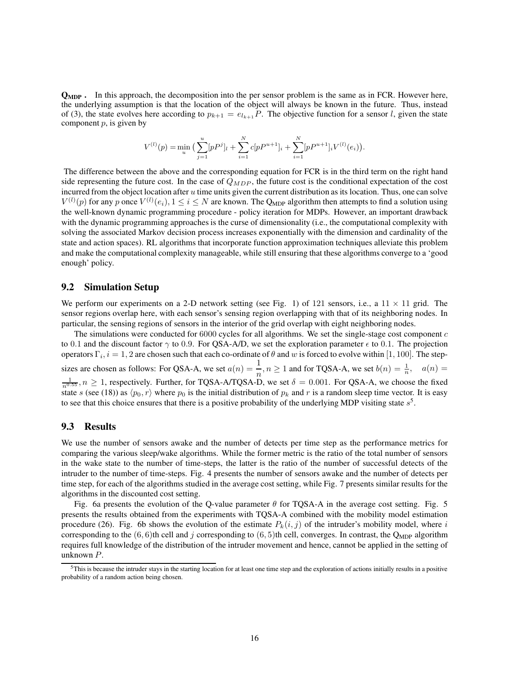**QMDP .** In this approach, the decomposition into the per sensor problem is the same as in FCR. However here, the underlying assumption is that the location of the object will always be known in the future. Thus, instead of (3), the state evolves here according to  $p_{k+1} = e_{l_{k+1}} P$ . The objective function for a sensor l, given the state component  $p$ , is given by

$$
V^{(l)}(p) = \min_{u} \left( \sum_{j=1}^{u} [p P^{j}]_{l} + \sum_{i=1}^{N} c [p P^{u+1}]_{i} + \sum_{i=1}^{N} [p P^{u+1}]_{i} V^{(l)}(e_{i}) \right).
$$

The difference between the above and the corresponding equation for FCR is in the third term on the right hand side representing the future cost. In the case of  $Q_{MDP}$ , the future cost is the conditional expectation of the cost incurred from the object location after  $u$  time units given the current distribution as its location. Thus, one can solve  $V^{(l)}(p)$  for any p once  $V^{(l)}(e_i)$ ,  $1 \le i \le N$  are known. The Q<sub>MDP</sub> algorithm then attempts to find a solution using the well-known dynamic programming procedure - policy iteration for MDPs. However, an important drawback with the dynamic programming approaches is the curse of dimensionality (i.e., the computational complexity with solving the associated Markov decision process increases exponentially with the dimension and cardinality of the state and action spaces). RL algorithms that incorporate function approximation techniques alleviate this problem and make the computational complexity manageable, while still ensuring that these algorithms converge to a 'good enough' policy.

### **9.2 Simulation Setup**

We perform our experiments on a 2-D network setting (see Fig. 1) of 121 sensors, i.e., a  $11 \times 11$  grid. The sensor regions overlap here, with each sensor's sensing region overlapping with that of its neighboring nodes. In particular, the sensing regions of sensors in the interior of the grid overlap with eight neighboring nodes.

The simulations were conducted for  $6000$  cycles for all algorithms. We set the single-stage cost component  $c$ to 0.1 and the discount factor  $\gamma$  to 0.9. For QSA-A/D, we set the exploration parameter  $\epsilon$  to 0.1. The projection operators  $\Gamma_i$ ,  $i = 1, 2$  are chosen such that each co-ordinate of  $\theta$  and  $w$  is forced to evolve within  $[1, 100]$ . The stepsizes are chosen as follows: For QSA-A, we set  $a(n) = \frac{1}{n}$ ,  $n \ge 1$  and for TQSA-A, we set  $b(n) = \frac{1}{n}$ ,  $a(n) =$  $\frac{1}{n^{0.55}}$ ,  $n \ge 1$ , respectively. Further, for TQSA-A/TQSA-D, we set  $\delta = 0.001$ . For QSA-A, we choose the fixed state s (see (18)) as  $\langle p_0, r \rangle$  where  $p_0$  is the initial distribution of  $p_k$  and r is a random sleep time vector. It is easy to see that this choice ensures that there is a positive probability of the underlying MDP visiting state  $s^5$ .

### **9.3 Results**

We use the number of sensors awake and the number of detects per time step as the performance metrics for comparing the various sleep/wake algorithms. While the former metric is the ratio of the total number of sensors in the wake state to the number of time-steps, the latter is the ratio of the number of successful detects of the intruder to the number of time-steps. Fig. 4 presents the number of sensors awake and the number of detects per time step, for each of the algorithms studied in the average cost setting, while Fig. 7 presents similar results for the algorithms in the discounted cost setting.

Fig. 6a presents the evolution of the Q-value parameter  $\theta$  for TQSA-A in the average cost setting. Fig. 5 presents the results obtained from the experiments with TQSA-A combined with the mobility model estimation procedure (26). Fig. 6b shows the evolution of the estimate  $P_k(i, j)$  of the intruder's mobility model, where i corresponding to the  $(6, 6)$ th cell and j corresponding to  $(6, 5)$ th cell, converges. In contrast, the Q<sub>MDP</sub> algorithm requires full knowledge of the distribution of the intruder movement and hence, cannot be applied in the setting of unknown P.

<sup>5</sup>This is because the intruder stays in the starting location for at least one time step and the exploration of actions initially results in a positive probability of a random action being chosen.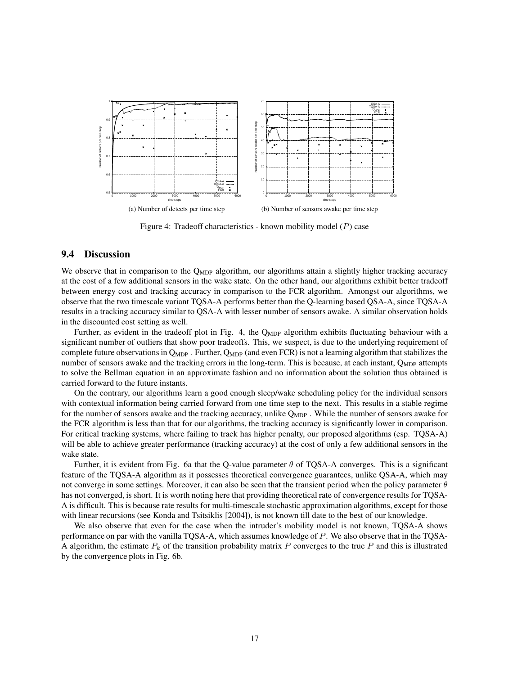

Figure 4: Tradeoff characteristics - known mobility model  $(P)$  case

### **9.4 Discussion**

We observe that in comparison to the  $Q_{MDP}$  algorithm, our algorithms attain a slightly higher tracking accuracy at the cost of a few additional sensors in the wake state. On the other hand, our algorithms exhibit better tradeoff between energy cost and tracking accuracy in comparison to the FCR algorithm. Amongst our algorithms, we observe that the two timescale variant TQSA-A performs better than the Q-learning based QSA-A, since TQSA-A results in a tracking accuracy similar to QSA-A with lesser number of sensors awake. A similar observation holds in the discounted cost setting as well.

Further, as evident in the tradeoff plot in Fig. 4, the Q<sub>MDP</sub> algorithm exhibits fluctuating behaviour with a significant number of outliers that show poor tradeoffs. This, we suspect, is due to the underlying requirement of complete future observations in  $Q_{MDP}$ . Further,  $Q_{MDP}$  (and even FCR) is not a learning algorithm that stabilizes the number of sensors awake and the tracking errors in the long-term. This is because, at each instant, Q<sub>MDP</sub> attempts to solve the Bellman equation in an approximate fashion and no information about the solution thus obtained is carried forward to the future instants.

On the contrary, our algorithms learn a good enough sleep/wake scheduling policy for the individual sensors with contextual information being carried forward from one time step to the next. This results in a stable regime for the number of sensors awake and the tracking accuracy, unlike  $Q_{MDP}$ . While the number of sensors awake for the FCR algorithm is less than that for our algorithms, the tracking accuracy is significantly lower in comparison. For critical tracking systems, where failing to track has higher penalty, our proposed algorithms (esp. TQSA-A) will be able to achieve greater performance (tracking accuracy) at the cost of only a few additional sensors in the wake state.

Further, it is evident from Fig. 6a that the Q-value parameter  $\theta$  of TQSA-A converges. This is a significant feature of the TQSA-A algorithm as it possesses theoretical convergence guarantees, unlike QSA-A, which may not converge in some settings. Moreover, it can also be seen that the transient period when the policy parameter  $\theta$ has not converged, is short. It is worth noting here that providing theoretical rate of convergence results for TQSA-A is difficult. This is because rate results for multi-timescale stochastic approximation algorithms, except for those with linear recursions (see Konda and Tsitsiklis [2004]), is not known till date to the best of our knowledge.

We also observe that even for the case when the intruder's mobility model is not known, TQSA-A shows performance on par with the vanilla TQSA-A, which assumes knowledge of P. We also observe that in the TQSA-A algorithm, the estimate  $P_k$  of the transition probability matrix P converges to the true P and this is illustrated by the convergence plots in Fig. 6b.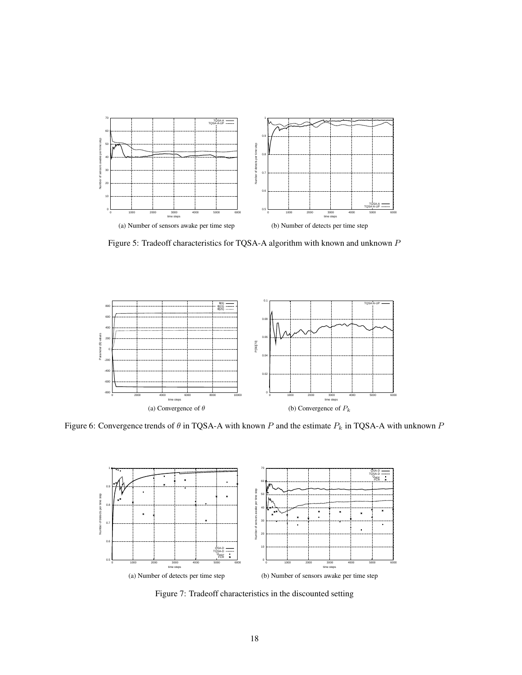

Figure 5: Tradeoff characteristics for TQSA-A algorithm with known and unknown P



Figure 6: Convergence trends of  $\theta$  in TQSA-A with known P and the estimate  $P_k$  in TQSA-A with unknown P



Figure 7: Tradeoff characteristics in the discounted setting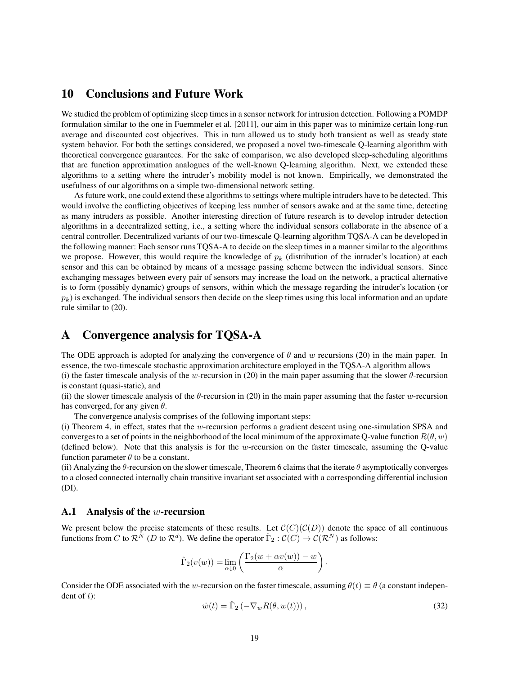# **10 Conclusions and Future Work**

We studied the problem of optimizing sleep times in a sensor network for intrusion detection. Following a POMDP formulation similar to the one in Fuemmeler et al. [2011], our aim in this paper was to minimize certain long-run average and discounted cost objectives. This in turn allowed us to study both transient as well as steady state system behavior. For both the settings considered, we proposed a novel two-timescale Q-learning algorithm with theoretical convergence guarantees. For the sake of comparison, we also developed sleep-scheduling algorithms that are function approximation analogues of the well-known Q-learning algorithm. Next, we extended these algorithms to a setting where the intruder's mobility model is not known. Empirically, we demonstrated the usefulness of our algorithms on a simple two-dimensional network setting.

As future work, one could extend these algorithms to settings where multiple intruders have to be detected. This would involve the conflicting objectives of keeping less number of sensors awake and at the same time, detecting as many intruders as possible. Another interesting direction of future research is to develop intruder detection algorithms in a decentralized setting, i.e., a setting where the individual sensors collaborate in the absence of a central controller. Decentralized variants of our two-timescale Q-learning algorithm TQSA-A can be developed in the following manner: Each sensor runs TQSA-A to decide on the sleep times in a manner similar to the algorithms we propose. However, this would require the knowledge of  $p_k$  (distribution of the intruder's location) at each sensor and this can be obtained by means of a message passing scheme between the individual sensors. Since exchanging messages between every pair of sensors may increase the load on the network, a practical alternative is to form (possibly dynamic) groups of sensors, within which the message regarding the intruder's location (or  $p_k$ ) is exchanged. The individual sensors then decide on the sleep times using this local information and an update rule similar to (20).

# **A Convergence analysis for TQSA-A**

The ODE approach is adopted for analyzing the convergence of  $\theta$  and w recursions (20) in the main paper. In essence, the two-timescale stochastic approximation architecture employed in the TQSA-A algorithm allows (i) the faster timescale analysis of the w-recursion in (20) in the main paper assuming that the slower  $\theta$ -recursion

is constant (quasi-static), and

(ii) the slower timescale analysis of the  $\theta$ -recursion in (20) in the main paper assuming that the faster w-recursion has converged, for any given  $\theta$ .

The convergence analysis comprises of the following important steps:

(i) Theorem 4, in effect, states that the w-recursion performs a gradient descent using one-simulation SPSA and converges to a set of points in the neighborhood of the local minimum of the approximate Q-value function  $R(\theta, w)$ (defined below). Note that this analysis is for the w-recursion on the faster timescale, assuming the Q-value function parameter  $\theta$  to be a constant.

(ii) Analyzing the  $\theta$ -recursion on the slower timescale, Theorem 6 claims that the iterate  $\theta$  asymptotically converges to a closed connected internally chain transitive invariant set associated with a corresponding differential inclusion (DI).

#### **A.1 Analysis of the** w**-recursion**

We present below the precise statements of these results. Let  $\mathcal{C}(C)(\mathcal{C}(D))$  denote the space of all continuous functions from C to  $\mathcal{R}^{\tilde{N}}$  (D to  $\mathcal{R}^d$ ). We define the operator  $\hat{\Gamma}_2 : \mathcal{C}(C) \to \mathcal{C}(\mathcal{R}^N)$  as follows:

$$
\hat{\Gamma}_2(v(w)) = \lim_{\alpha \downarrow 0} \left( \frac{\Gamma_2(w + \alpha v(w)) - w}{\alpha} \right).
$$

Consider the ODE associated with the w-recursion on the faster timescale, assuming  $\theta(t) \equiv \theta$  (a constant independent of  $t$ ):

$$
\dot{w}(t) = \hat{\Gamma}_2 \left( -\nabla_w R(\theta, w(t)) \right),\tag{32}
$$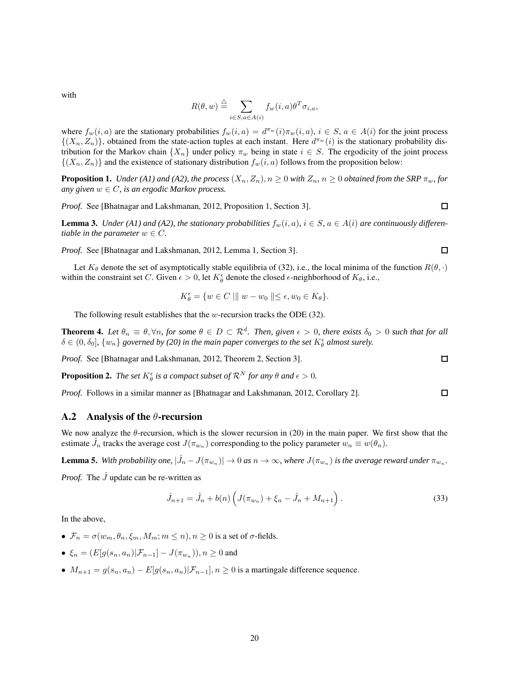with

$$
R(\theta, w) \stackrel{\triangle}{=} \sum_{i \in S, a \in A(i)} f_w(i, a) \theta^T \sigma_{i, a},
$$

where  $f_w(i, a)$  are the stationary probabilities  $f_w(i, a) = d^{\pi_w}(i) \pi_w(i, a), i \in S$ ,  $a \in A(i)$  for the joint process  $\{(X_n, Z_n)\}\)$ , obtained from the state-action tuples at each instant. Here  $d^{\pi_w}(i)$  is the stationary probability distribution for the Markov chain  $\{X_n\}$  under policy  $\pi_w$  being in state  $i \in S$ . The ergodicity of the joint process  $\{(X_n, Z_n)\}\$  and the existence of stationary distribution  $f_w(i, a)$  follows from the proposition below:

**Proposition 1.** *Under (A1) and (A2), the process*  $(X_n, Z_n)$ ,  $n \ge 0$  *with*  $Z_n$ ,  $n \ge 0$  *obtained from the SRP*  $\pi_w$ *, for any given*  $w \in C$ *, is an ergodic Markov process.* 

*Proof.* See [Bhatnagar and Lakshmanan, 2012, Proposition 1, Section 3].

**Lemma 3.** *Under* (A1) and (A2), the stationary probabilities  $f_w(i, a)$ ,  $i \in S$ ,  $a \in A(i)$  are continuously differen*tiable in the parameter*  $w \in C$ *.* 

*Proof.* See [Bhatnagar and Lakshmanan, 2012, Lemma 1, Section 3].

Let  $K_{\theta}$  denote the set of asymptotically stable equilibria of (32), i.e., the local minima of the function  $R(\theta, \cdot)$ within the constraint set C. Given  $\epsilon > 0$ , let  $K^{\epsilon}_{\theta}$  denote the closed  $\epsilon$ -neighborhood of  $K_{\theta}$ , i.e.,

$$
K_{\theta}^{\epsilon} = \{ w \in C \mid \| w - w_0 \| \le \epsilon, w_0 \in K_{\theta} \}.
$$

The following result establishes that the w-recursion tracks the ODE  $(32)$ .

**Theorem 4.** Let  $\theta_n \equiv \theta$ ,  $\forall n$ , for some  $\theta \in D \subset \mathbb{R}^d$ . Then, given  $\epsilon > 0$ , there exists  $\delta_0 > 0$  such that for all  $\delta \in (0,\delta_0]$ ,  $\{w_n\}$  governed by (20) in the main paper converges to the set  $K^{\epsilon}_{\theta}$  almost surely.

*Proof.* See [Bhatnagar and Lakshmanan, 2012, Theorem 2, Section 3].

**Proposition 2.** *The set*  $K^{\epsilon}_{\theta}$  *is a compact subset of*  $\mathcal{R}^{N}$  *for any*  $\theta$  *and*  $\epsilon > 0$ *.* 

*Proof.* Follows in a similar manner as [Bhatnagar and Lakshmanan, 2012, Corollary 2].

#### **A.2 Analysis of the** θ**-recursion**

We now analyze the  $\theta$ -recursion, which is the slower recursion in (20) in the main paper. We first show that the estimate  $\hat{J}_n$  tracks the average cost  $J(\pi_{w_n})$  corresponding to the policy parameter  $w_n \equiv w(\theta_n)$ .

**Lemma 5.** With probability one,  $|\hat{J}_n - J(\pi_{w_n})| \to 0$  as  $n \to \infty$ , where  $J(\pi_{w_n})$  is the average reward under  $\pi_{w_n}$ .

*Proof.* The  $\hat{J}$  update can be re-written as

$$
\hat{J}_{n+1} = \hat{J}_n + b(n) \left( J(\pi_{w_n}) + \xi_n - \hat{J}_n + M_{n+1} \right). \tag{33}
$$

In the above,

- $\mathcal{F}_n = \sigma(w_m, \theta_n, \xi_m, M_m; m \leq n), n \geq 0$  is a set of  $\sigma$ -fields.
- $\xi_n = (E[g(s_n, a_n)|\mathcal{F}_{n-1}] J(\pi_{w_n})), n \ge 0$  and
- $M_{n+1} = g(s_n, a_n) E[g(s_n, a_n)|\mathcal{F}_{n-1}], n \geq 0$  is a martingale difference sequence.



 $\Box$ 

 $\Box$ 

 $\Box$ 

 $\Box$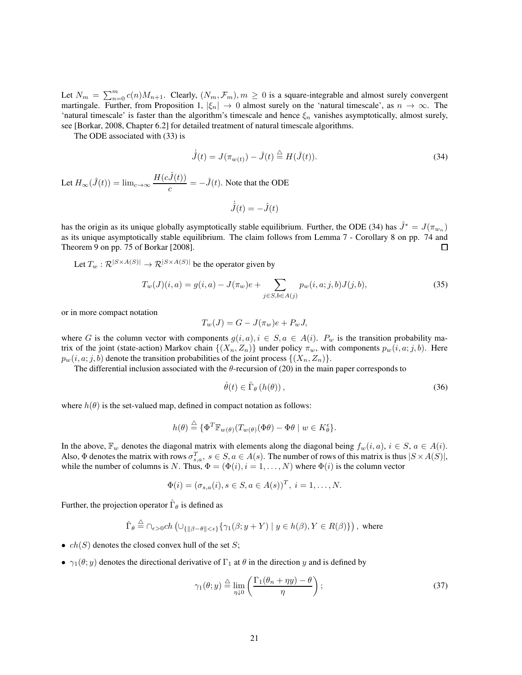Let  $N_m = \sum_{n=0}^m c(n)M_{n+1}$ . Clearly,  $(N_m, \mathcal{F}_m)$ ,  $m \ge 0$  is a square-integrable and almost surely convergent martingale. Further, from Proposition 1,  $|\xi_n| \to 0$  almost surely on the 'natural timescale', as  $n \to \infty$ . The 'natural timescale' is faster than the algorithm's timescale and hence  $\xi_n$  vanishes asymptotically, almost surely, see [Borkar, 2008, Chapter 6.2] for detailed treatment of natural timescale algorithms.

The ODE associated with (33) is

$$
\dot{\hat{J}}(t) = J(\pi_{w(t)}) - \hat{J}(t) \stackrel{\triangle}{=} H(\hat{J}(t)).
$$
\n(34)

Let  $H_{\infty}(\hat{J}(t)) = \lim_{c \to \infty} \frac{H(c\hat{J}(t))}{\sum_{n=1}^{\infty} \frac{H(c\hat{J}(t))}{\sum_{n=1}^{\infty} \frac{H(c\hat{J}(t))}{\sum_{n=1}^{\infty} \frac{H(c\hat{J}(t))}{\sum_{n=1}^{\infty} \frac{H(c\hat{J}(t))}{\sum_{n=1}^{\infty} \frac{H(c\hat{J}(t))}{\sum_{n=1}^{\infty} \frac{H(c\hat{J}(t))}{\sum_{n=1}^{\infty} \frac{H(c\hat{J}(t))}{\sum_{n$  $\frac{\partial u(t)}{\partial c} = -\hat{J}(t)$ . Note that the ODE

$$
\dot{\hat{J}}(t) = -\hat{J}(t)
$$

has the origin as its unique globally asymptotically stable equilibrium. Further, the ODE (34) has  $\hat{J}^* = J(\pi_{w_n})$ as its unique asymptotically stable equilibrium. The claim follows from Lemma 7 - Corollary 8 on pp. 74 and Theorem 9 on pp. 75 of Borkar [2008].  $\Box$ 

Let  $T_w : \mathcal{R}^{|S \times A(S)|} \to \mathcal{R}^{|S \times A(S)|}$  be the operator given by

$$
T_w(J)(i,a) = g(i,a) - J(\pi_w)e + \sum_{j \in S, b \in A(j)} p_w(i,a;j,b)J(j,b),
$$
\n(35)

or in more compact notation

$$
T_w(J) = G - J(\pi_w)e + P_w J,
$$

where G is the column vector with components  $g(i, a), i \in S, a \in A(i)$ .  $P_w$  is the transition probability matrix of the joint (state-action) Markov chain  $\{(X_n, Z_n)\}\$ under policy  $\pi_w$ , with components  $p_w(i, a; j, b)$ . Here  $p_w(i, a; j, b)$  denote the transition probabilities of the joint process  $\{(X_n, Z_n)\}.$ 

The differential inclusion associated with the  $\theta$ -recursion of (20) in the main paper corresponds to

$$
\dot{\theta}(t) \in \hat{\Gamma}_{\theta} \left( h(\theta) \right), \tag{36}
$$

where  $h(\theta)$  is the set-valued map, defined in compact notation as follows:

$$
h(\theta) \stackrel{\triangle}{=} \{ \Phi^T \mathbb{F}_{w(\theta)}(T_{w(\theta)}(\Phi \theta) - \Phi \theta \mid w \in K_\theta^\epsilon \}.
$$

In the above,  $\mathbb{F}_w$  denotes the diagonal matrix with elements along the diagonal being  $f_w(i, a)$ ,  $i \in S$ ,  $a \in A(i)$ . Also,  $\Phi$  denotes the matrix with rows  $\sigma_{s,a}^T$ ,  $s \in S$ ,  $a \in A(s)$ . The number of rows of this matrix is thus  $|S \times A(S)|$ , while the number of columns is N. Thus,  $\Phi = (\Phi(i), i = 1, \dots, N)$  where  $\Phi(i)$  is the column vector

$$
\Phi(i) = (\sigma_{s,a}(i), s \in S, a \in A(s))^T, i = 1, ..., N.
$$

Further, the projection operator  $\hat{\Gamma}_{\theta}$  is defined as

$$
\hat{\Gamma}_{\theta} \stackrel{\triangle}{=} \cap_{\epsilon > 0} ch \left( \cup_{\{ \|\beta - \theta\| < \epsilon \}} \{ \gamma_1(\beta; y + Y) \mid y \in h(\beta), Y \in R(\beta) \} \right), \text{ where}
$$

- $ch(S)$  denotes the closed convex hull of the set S;
- $\gamma_1(\theta; y)$  denotes the directional derivative of  $\Gamma_1$  at  $\theta$  in the direction y and is defined by

$$
\gamma_1(\theta; y) \stackrel{\triangle}{=} \lim_{\eta \downarrow 0} \left( \frac{\Gamma_1(\theta_n + \eta y) - \theta}{\eta} \right); \tag{37}
$$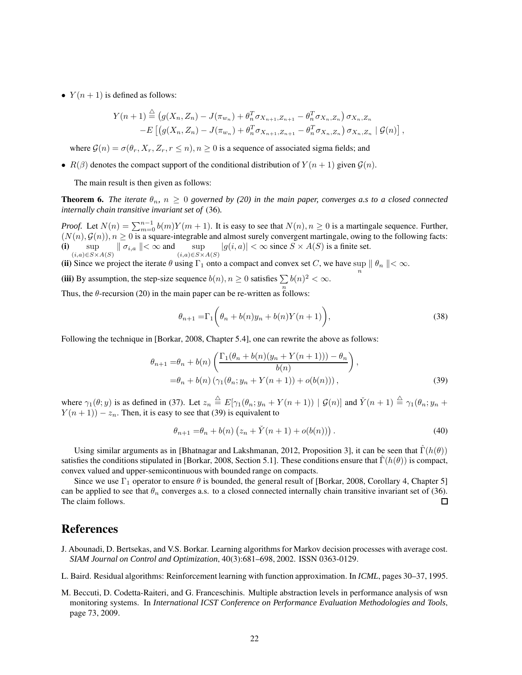•  $Y(n + 1)$  is defined as follows:

$$
Y(n + 1) \stackrel{\triangle}{=} (g(X_n, Z_n) - J(\pi_{w_n}) + \theta_n^T \sigma_{X_{n+1}, Z_{n+1}} - \theta_n^T \sigma_{X_n, Z_n}) \sigma_{X_n, Z_n}
$$
  
-
$$
E [(g(X_n, Z_n) - J(\pi_{w_n}) + \theta_n^T \sigma_{X_{n+1}, Z_{n+1}} - \theta_n^T \sigma_{X_n, Z_n}) \sigma_{X_n, Z_n} | \mathcal{G}(n) ],
$$

where  $\mathcal{G}(n) = \sigma(\theta_r, X_r, Z_r, r \leq n), n \geq 0$  is a sequence of associated sigma fields; and

•  $R(\beta)$  denotes the compact support of the conditional distribution of  $Y(n + 1)$  given  $\mathcal{G}(n)$ .

The main result is then given as follows:

**Theorem 6.** *The iterate*  $\theta_n$ ,  $n \geq 0$  *governed by (20) in the main paper, converges a.s to a closed connected internally chain transitive invariant set of* (36)*.*

*Proof.* Let  $N(n) = \sum_{m=0}^{n-1} b(m)Y(m+1)$ . It is easy to see that  $N(n)$ ,  $n \ge 0$  is a martingale sequence. Further,  $(N(n), \mathcal{G}(n))$ ,  $n \ge 0$  is a square-integrable and almost surely convergent martingale, owing to the following facts: **(i)** sup  $\sup_{(i,a)\in S\times A(S)}$   $\|\sigma_{i,a}\|\leq \infty$  and  $\sup_{(i,a)\in S\times A(S)}$  $|g(i, a)| < \infty$  since  $S \times A(S)$  is a finite set.

(ii) Since we project the iterate  $\theta$  using  $\Gamma_1$  onto a compact and convex set C, we have sup  $\|\theta_n\| < \infty$ .

(iii) By assumption, the step-size sequence  $b(n)$ ,  $n \ge 0$  satisfies  $\sum b(n)^2 < \infty$ .

Thus, the  $\theta$ -recursion (20) in the main paper can be re-written as follows:

$$
\theta_{n+1} = \Gamma_1 \left( \theta_n + b(n) y_n + b(n) Y(n+1) \right), \tag{38}
$$

Following the technique in [Borkar, 2008, Chapter 5.4], one can rewrite the above as follows:

$$
\theta_{n+1} = \theta_n + b(n) \left( \frac{\Gamma_1(\theta_n + b(n)(y_n + Y(n+1))) - \theta_n}{b(n)} \right),
$$
  
=  $\theta_n + b(n) \left( \gamma_1(\theta_n; y_n + Y(n+1)) + o(b(n)) \right),$  (39)

where  $\gamma_1(\theta; y)$  is as defined in (37). Let  $z_n \stackrel{\triangle}{=} E[\gamma_1(\theta_n; y_n + Y(n+1)) | \mathcal{G}(n)]$  and  $\check{Y}(n+1) \stackrel{\triangle}{=} \gamma_1(\theta_n; y_n + Y(n+1))$  $Y(n + 1) - z_n$ . Then, it is easy to see that (39) is equivalent to

$$
\theta_{n+1} = \theta_n + b(n) \left( z_n + \check{Y}(n+1) + o(b(n)) \right). \tag{40}
$$

Using similar arguments as in [Bhatnagar and Lakshmanan, 2012, Proposition 3], it can be seen that  $\hat{\Gamma}(h(\theta))$ satisfies the conditions stipulated in [Borkar, 2008, Section 5.1]. These conditions ensure that  $\Gamma(h(\theta))$  is compact, convex valued and upper-semicontinuous with bounded range on compacts.

Since we use  $\Gamma_1$  operator to ensure  $\theta$  is bounded, the general result of [Borkar, 2008, Corollary 4, Chapter 5] can be applied to see that  $\theta_n$  converges a.s. to a closed connected internally chain transitive invariant set of (36). The claim follows.  $\Box$ 

# **References**

- J. Abounadi, D. Bertsekas, and V.S. Borkar. Learning algorithms for Markov decision processes with average cost. *SIAM Journal on Control and Optimization*, 40(3):681–698, 2002. ISSN 0363-0129.
- L. Baird. Residual algorithms: Reinforcement learning with function approximation. In *ICML*, pages 30–37, 1995.
- M. Beccuti, D. Codetta-Raiteri, and G. Franceschinis. Multiple abstraction levels in performance analysis of wsn monitoring systems. In *International ICST Conference on Performance Evaluation Methodologies and Tools*, page 73, 2009.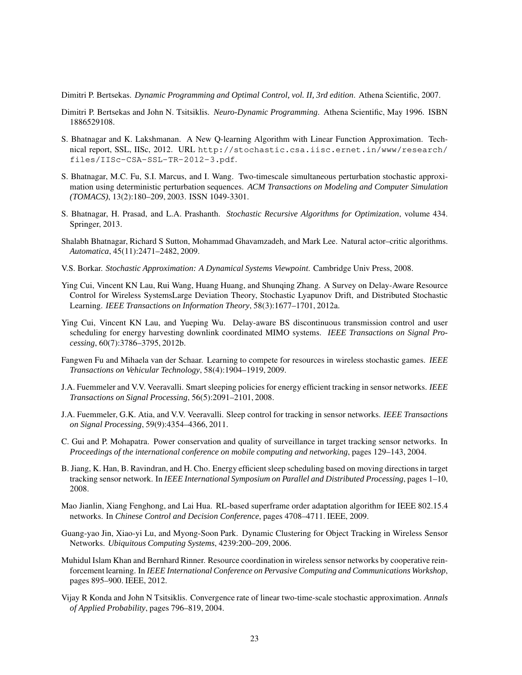Dimitri P. Bertsekas. *Dynamic Programming and Optimal Control, vol. II, 3rd edition*. Athena Scientific, 2007.

- Dimitri P. Bertsekas and John N. Tsitsiklis. *Neuro-Dynamic Programming*. Athena Scientific, May 1996. ISBN 1886529108.
- S. Bhatnagar and K. Lakshmanan. A New Q-learning Algorithm with Linear Function Approximation. Technical report, SSL, IISc, 2012. URL http://stochastic.csa.iisc.ernet.in/www/research/ files/IISc-CSA-SSL-TR-2012-3.pdf.
- S. Bhatnagar, M.C. Fu, S.I. Marcus, and I. Wang. Two-timescale simultaneous perturbation stochastic approximation using deterministic perturbation sequences. *ACM Transactions on Modeling and Computer Simulation (TOMACS)*, 13(2):180–209, 2003. ISSN 1049-3301.
- S. Bhatnagar, H. Prasad, and L.A. Prashanth. *Stochastic Recursive Algorithms for Optimization*, volume 434. Springer, 2013.
- Shalabh Bhatnagar, Richard S Sutton, Mohammad Ghavamzadeh, and Mark Lee. Natural actor–critic algorithms. *Automatica*, 45(11):2471–2482, 2009.
- V.S. Borkar. *Stochastic Approximation: A Dynamical Systems Viewpoint*. Cambridge Univ Press, 2008.
- Ying Cui, Vincent KN Lau, Rui Wang, Huang Huang, and Shunqing Zhang. A Survey on Delay-Aware Resource Control for Wireless SystemsLarge Deviation Theory, Stochastic Lyapunov Drift, and Distributed Stochastic Learning. *IEEE Transactions on Information Theory*, 58(3):1677–1701, 2012a.
- Ying Cui, Vincent KN Lau, and Yueping Wu. Delay-aware BS discontinuous transmission control and user scheduling for energy harvesting downlink coordinated MIMO systems. *IEEE Transactions on Signal Processing*, 60(7):3786–3795, 2012b.
- Fangwen Fu and Mihaela van der Schaar. Learning to compete for resources in wireless stochastic games. *IEEE Transactions on Vehicular Technology*, 58(4):1904–1919, 2009.
- J.A. Fuemmeler and V.V. Veeravalli. Smart sleeping policies for energy efficient tracking in sensor networks. *IEEE Transactions on Signal Processing*, 56(5):2091–2101, 2008.
- J.A. Fuemmeler, G.K. Atia, and V.V. Veeravalli. Sleep control for tracking in sensor networks. *IEEE Transactions on Signal Processing*, 59(9):4354–4366, 2011.
- C. Gui and P. Mohapatra. Power conservation and quality of surveillance in target tracking sensor networks. In *Proceedings of the international conference on mobile computing and networking*, pages 129–143, 2004.
- B. Jiang, K. Han, B. Ravindran, and H. Cho. Energy efficient sleep scheduling based on moving directions in target tracking sensor network. In *IEEE International Symposium on Parallel and Distributed Processing*, pages 1–10, 2008.
- Mao Jianlin, Xiang Fenghong, and Lai Hua. RL-based superframe order adaptation algorithm for IEEE 802.15.4 networks. In *Chinese Control and Decision Conference*, pages 4708–4711. IEEE, 2009.
- Guang-yao Jin, Xiao-yi Lu, and Myong-Soon Park. Dynamic Clustering for Object Tracking in Wireless Sensor Networks. *Ubiquitous Computing Systems*, 4239:200–209, 2006.
- Muhidul Islam Khan and Bernhard Rinner. Resource coordination in wireless sensor networks by cooperative reinforcement learning. In *IEEE International Conference on Pervasive Computing and Communications Workshop*, pages 895–900. IEEE, 2012.
- Vijay R Konda and John N Tsitsiklis. Convergence rate of linear two-time-scale stochastic approximation. *Annals of Applied Probability*, pages 796–819, 2004.